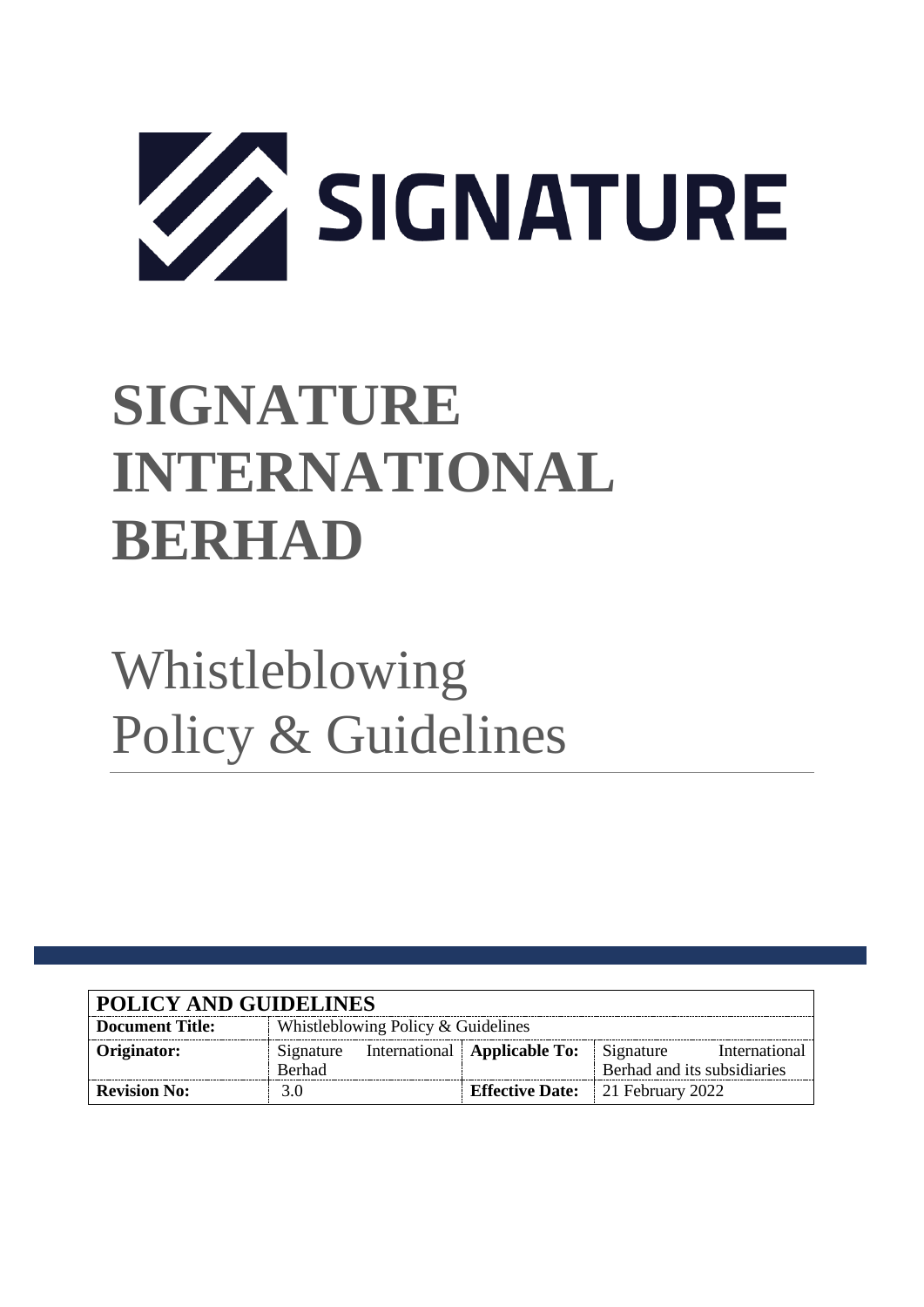

# **SIGNATURE INTERNATIONAL BERHAD**

# Whistleblowing Policy & Guidelines

| <b>POLICY AND GUIDELINES</b> |                                    |  |                                         |                             |               |
|------------------------------|------------------------------------|--|-----------------------------------------|-----------------------------|---------------|
| <b>Document Title:</b>       | Whistleblowing Policy & Guidelines |  |                                         |                             |               |
| Originator:                  | Signature                          |  | International   Applicable To:          | Signature                   | International |
|                              | <b>Berhad</b>                      |  |                                         | Berhad and its subsidiaries |               |
| <b>Revision No:</b>          | 3.0                                |  | <b>Effective Date:</b> 21 February 2022 |                             |               |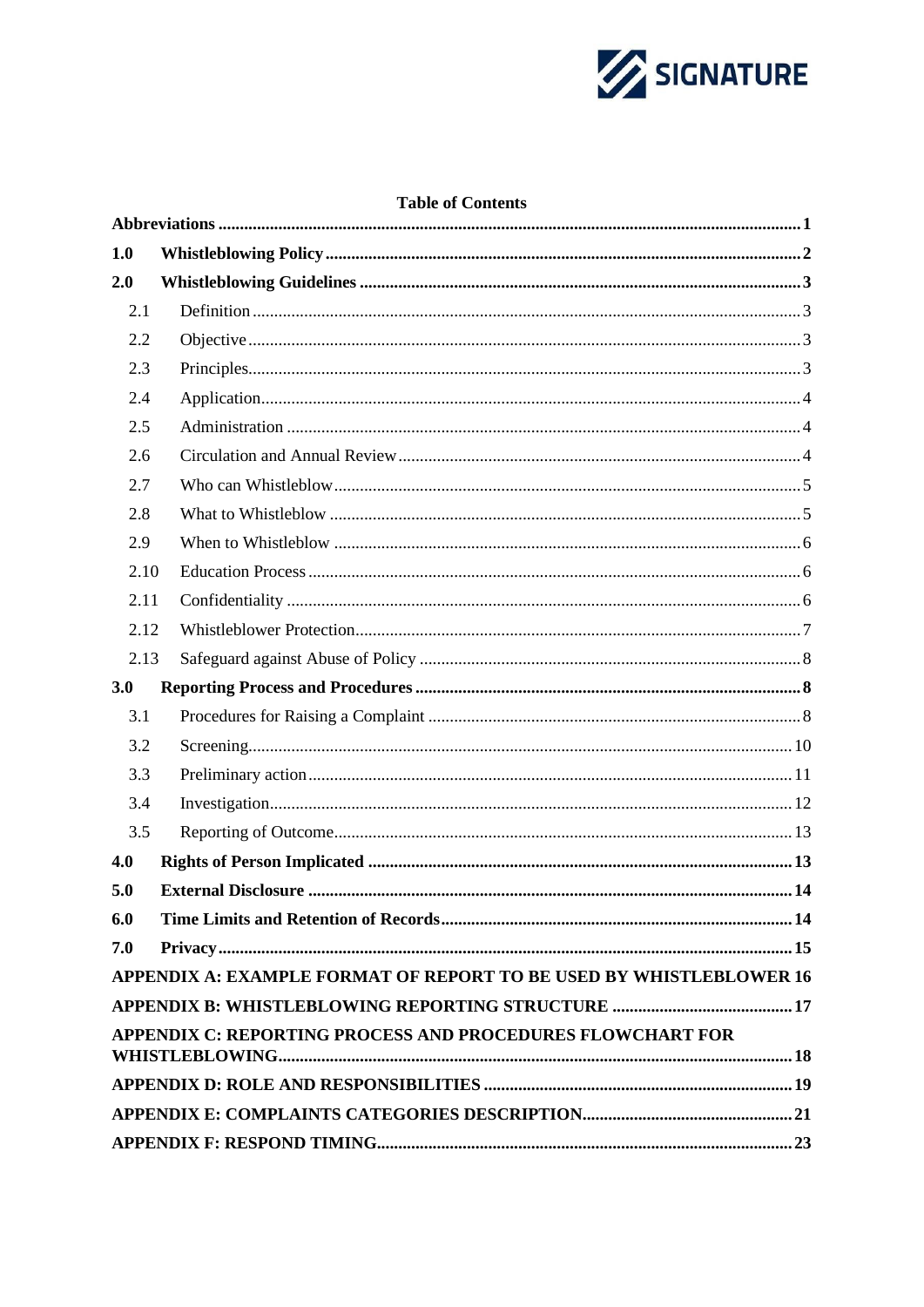

### **Table of Contents**

| 1.0                                                        |                                                                     |  |  |  |  |
|------------------------------------------------------------|---------------------------------------------------------------------|--|--|--|--|
| 2.0                                                        |                                                                     |  |  |  |  |
| 2.1                                                        |                                                                     |  |  |  |  |
| 2.2                                                        |                                                                     |  |  |  |  |
| 2.3                                                        |                                                                     |  |  |  |  |
| 2.4                                                        |                                                                     |  |  |  |  |
| 2.5                                                        |                                                                     |  |  |  |  |
| 2.6                                                        |                                                                     |  |  |  |  |
| 2.7                                                        |                                                                     |  |  |  |  |
| 2.8                                                        |                                                                     |  |  |  |  |
| 2.9                                                        |                                                                     |  |  |  |  |
| 2.10                                                       |                                                                     |  |  |  |  |
| 2.11                                                       |                                                                     |  |  |  |  |
| 2.12                                                       |                                                                     |  |  |  |  |
| 2.13                                                       |                                                                     |  |  |  |  |
| 3.0                                                        |                                                                     |  |  |  |  |
| 3.1                                                        |                                                                     |  |  |  |  |
| 3.2                                                        |                                                                     |  |  |  |  |
| 3.3                                                        |                                                                     |  |  |  |  |
| 3.4                                                        |                                                                     |  |  |  |  |
| 3.5                                                        |                                                                     |  |  |  |  |
| 4.0                                                        |                                                                     |  |  |  |  |
| 5.0                                                        |                                                                     |  |  |  |  |
| 6.0                                                        |                                                                     |  |  |  |  |
| 7.0                                                        |                                                                     |  |  |  |  |
|                                                            | APPENDIX A: EXAMPLE FORMAT OF REPORT TO BE USED BY WHISTLEBLOWER 16 |  |  |  |  |
|                                                            |                                                                     |  |  |  |  |
| APPENDIX C: REPORTING PROCESS AND PROCEDURES FLOWCHART FOR |                                                                     |  |  |  |  |
|                                                            |                                                                     |  |  |  |  |
|                                                            |                                                                     |  |  |  |  |
|                                                            |                                                                     |  |  |  |  |
|                                                            |                                                                     |  |  |  |  |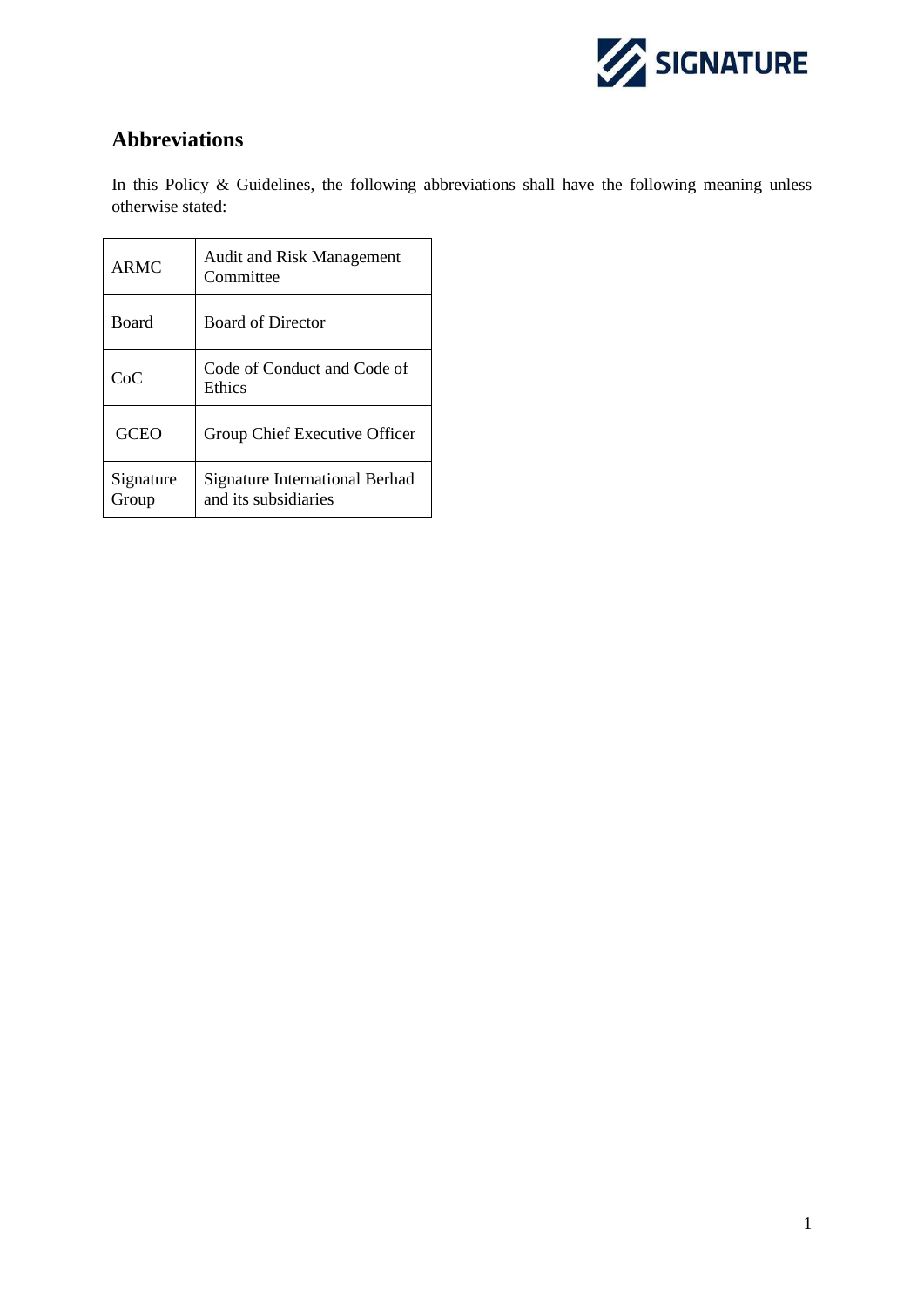

# <span id="page-2-0"></span>**Abbreviations**

In this Policy & Guidelines, the following abbreviations shall have the following meaning unless otherwise stated:

| <b>ARMC</b>        | <b>Audit and Risk Management</b><br>Committee          |
|--------------------|--------------------------------------------------------|
| <b>Board</b>       | <b>Board of Director</b>                               |
| CoC                | Code of Conduct and Code of<br>Ethics                  |
| GCEO               | Group Chief Executive Officer                          |
| Signature<br>Group | Signature International Berhad<br>and its subsidiaries |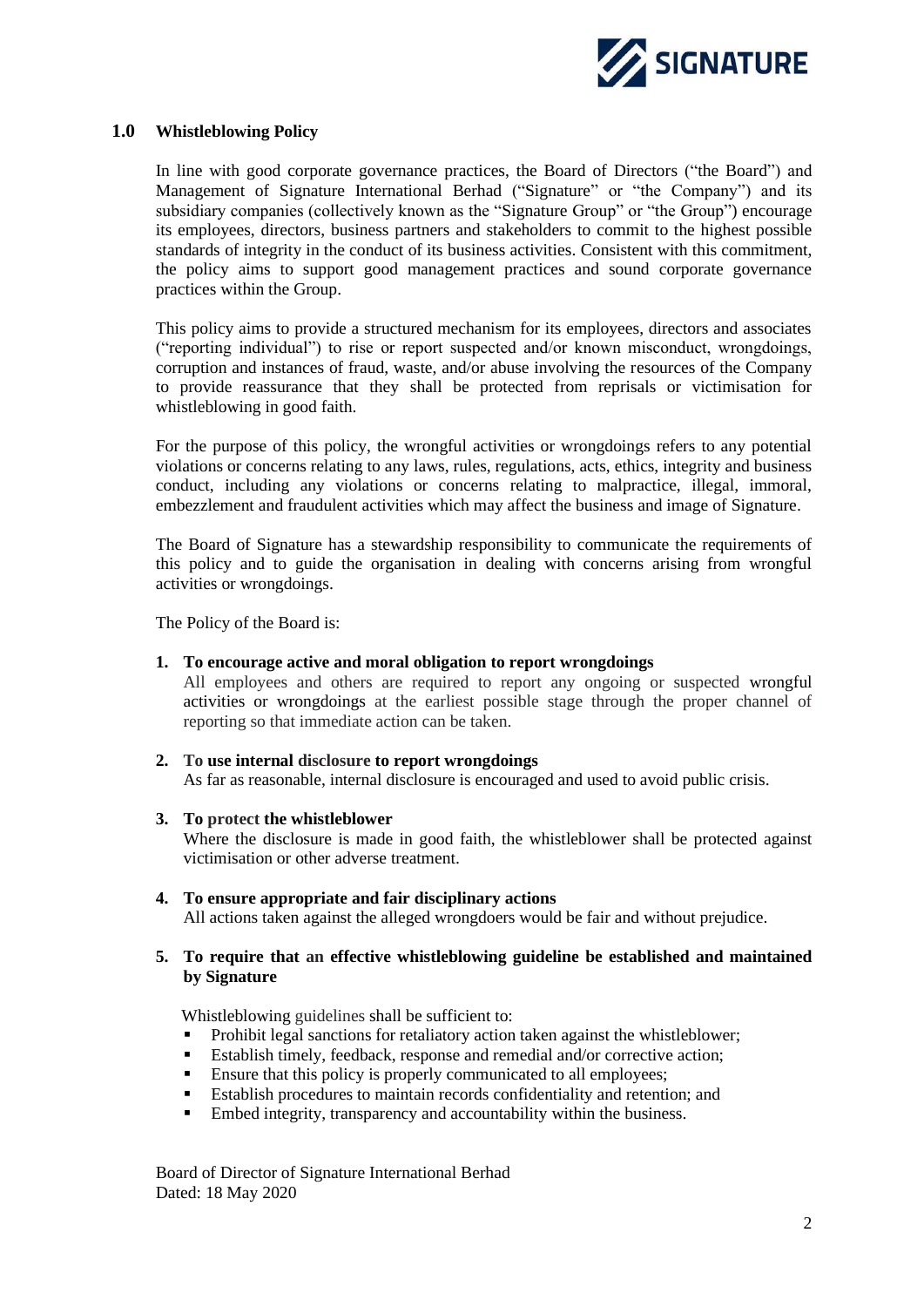

#### <span id="page-3-0"></span>**1.0 Whistleblowing Policy**

In line with good corporate governance practices, the Board of Directors ("the Board") and Management of Signature International Berhad ("Signature" or "the Company") and its subsidiary companies (collectively known as the "Signature Group" or "the Group") encourage its employees, directors, business partners and stakeholders to commit to the highest possible standards of integrity in the conduct of its business activities. Consistent with this commitment, the policy aims to support good management practices and sound corporate governance practices within the Group.

This policy aims to provide a structured mechanism for its employees, directors and associates ("reporting individual") to rise or report suspected and/or known misconduct, wrongdoings, corruption and instances of fraud, waste, and/or abuse involving the resources of the Company to provide reassurance that they shall be protected from reprisals or victimisation for whistleblowing in good faith.

For the purpose of this policy, the wrongful activities or wrongdoings refers to any potential violations or concerns relating to any laws, rules, regulations, acts, ethics, integrity and business conduct, including any violations or concerns relating to malpractice, illegal, immoral, embezzlement and fraudulent activities which may affect the business and image of Signature.

The Board of Signature has a stewardship responsibility to communicate the requirements of this policy and to guide the organisation in dealing with concerns arising from wrongful activities or wrongdoings.

The Policy of the Board is:

#### **1. To encourage active and moral obligation to report wrongdoings**

All employees and others are required to report any ongoing or suspected wrongful activities or wrongdoings at the earliest possible stage through the proper channel of reporting so that immediate action can be taken.

**2. To use internal disclosure to report wrongdoings**  As far as reasonable, internal disclosure is encouraged and used to avoid public crisis.

#### **3. To protect the whistleblower**

Where the disclosure is made in good faith, the whistleblower shall be protected against victimisation or other adverse treatment.

**4. To ensure appropriate and fair disciplinary actions**  All actions taken against the alleged wrongdoers would be fair and without prejudice.

#### **5. To require that an effective whistleblowing guideline be established and maintained by Signature**

Whistleblowing guidelines shall be sufficient to:

- Prohibit legal sanctions for retaliatory action taken against the whistleblower;
- Establish timely, feedback, response and remedial and/or corrective action;
- Ensure that this policy is properly communicated to all employees;
- Establish procedures to maintain records confidentiality and retention; and
- Embed integrity, transparency and accountability within the business.

Board of Director of Signature International Berhad Dated: 18 May 2020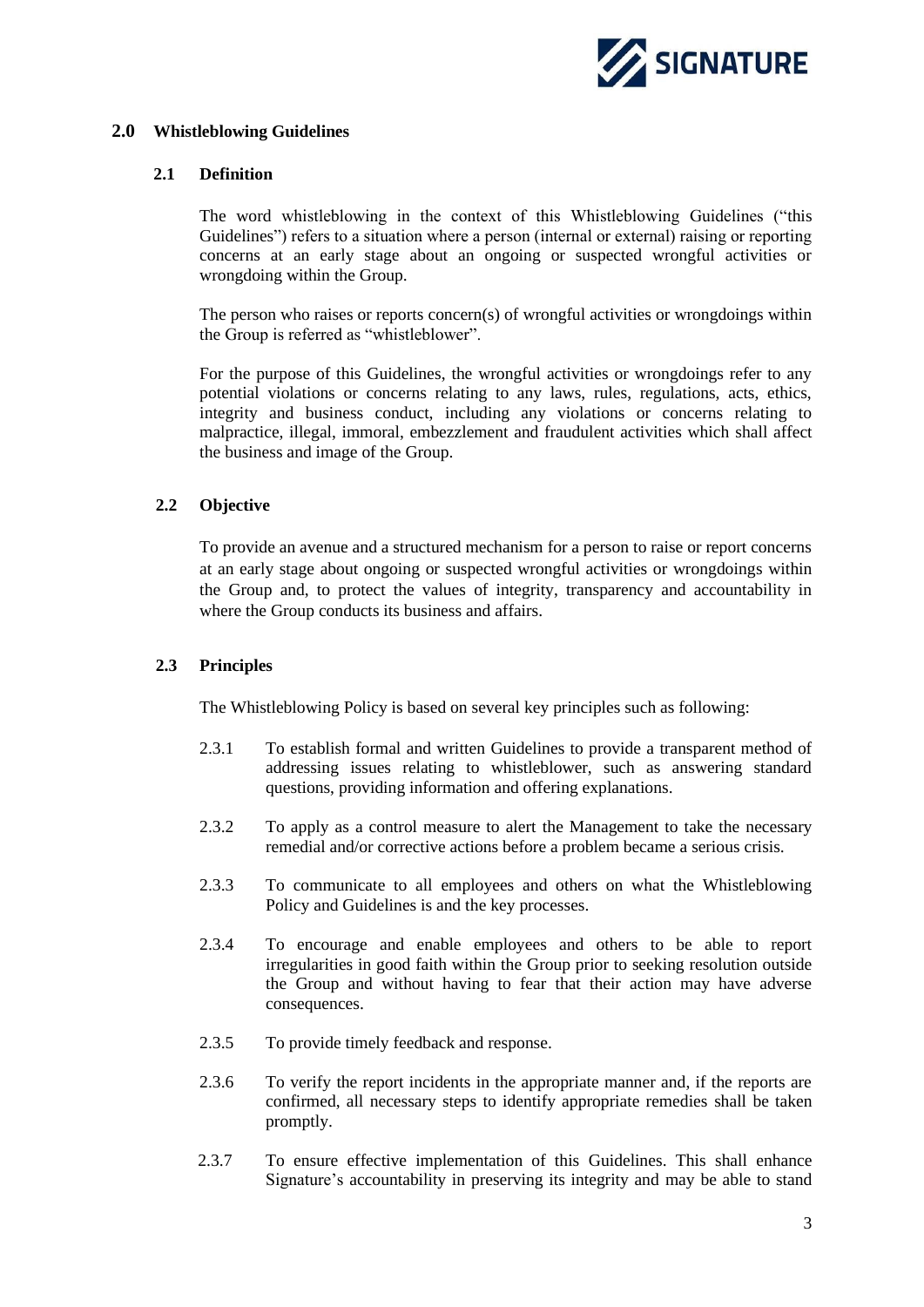

#### <span id="page-4-1"></span><span id="page-4-0"></span>**2.0 Whistleblowing Guidelines**

#### **2.1 Definition**

The word whistleblowing in the context of this Whistleblowing Guidelines ("this Guidelines") refers to a situation where a person (internal or external) raising or reporting concerns at an early stage about an ongoing or suspected wrongful activities or wrongdoing within the Group.

The person who raises or reports concern(s) of wrongful activities or wrongdoings within the Group is referred as "whistleblower".

For the purpose of this Guidelines, the wrongful activities or wrongdoings refer to any potential violations or concerns relating to any laws, rules, regulations, acts, ethics, integrity and business conduct, including any violations or concerns relating to malpractice, illegal, immoral, embezzlement and fraudulent activities which shall affect the business and image of the Group.

#### <span id="page-4-2"></span>**2.2 Objective**

To provide an avenue and a structured mechanism for a person to raise or report concerns at an early stage about ongoing or suspected wrongful activities or wrongdoings within the Group and, to protect the values of integrity, transparency and accountability in where the Group conducts its business and affairs.

#### <span id="page-4-3"></span>**2.3 Principles**

The Whistleblowing Policy is based on several key principles such as following:

- 2.3.1 To establish formal and written Guidelines to provide a transparent method of addressing issues relating to whistleblower, such as answering standard questions, providing information and offering explanations.
- 2.3.2 To apply as a control measure to alert the Management to take the necessary remedial and/or corrective actions before a problem became a serious crisis.
- 2.3.3 To communicate to all employees and others on what the Whistleblowing Policy and Guidelines is and the key processes.
- 2.3.4 To encourage and enable employees and others to be able to report irregularities in good faith within the Group prior to seeking resolution outside the Group and without having to fear that their action may have adverse consequences.
- 2.3.5 To provide timely feedback and response.
- 2.3.6 To verify the report incidents in the appropriate manner and, if the reports are confirmed, all necessary steps to identify appropriate remedies shall be taken promptly.
- 2.3.7 To ensure effective implementation of this Guidelines. This shall enhance Signature's accountability in preserving its integrity and may be able to stand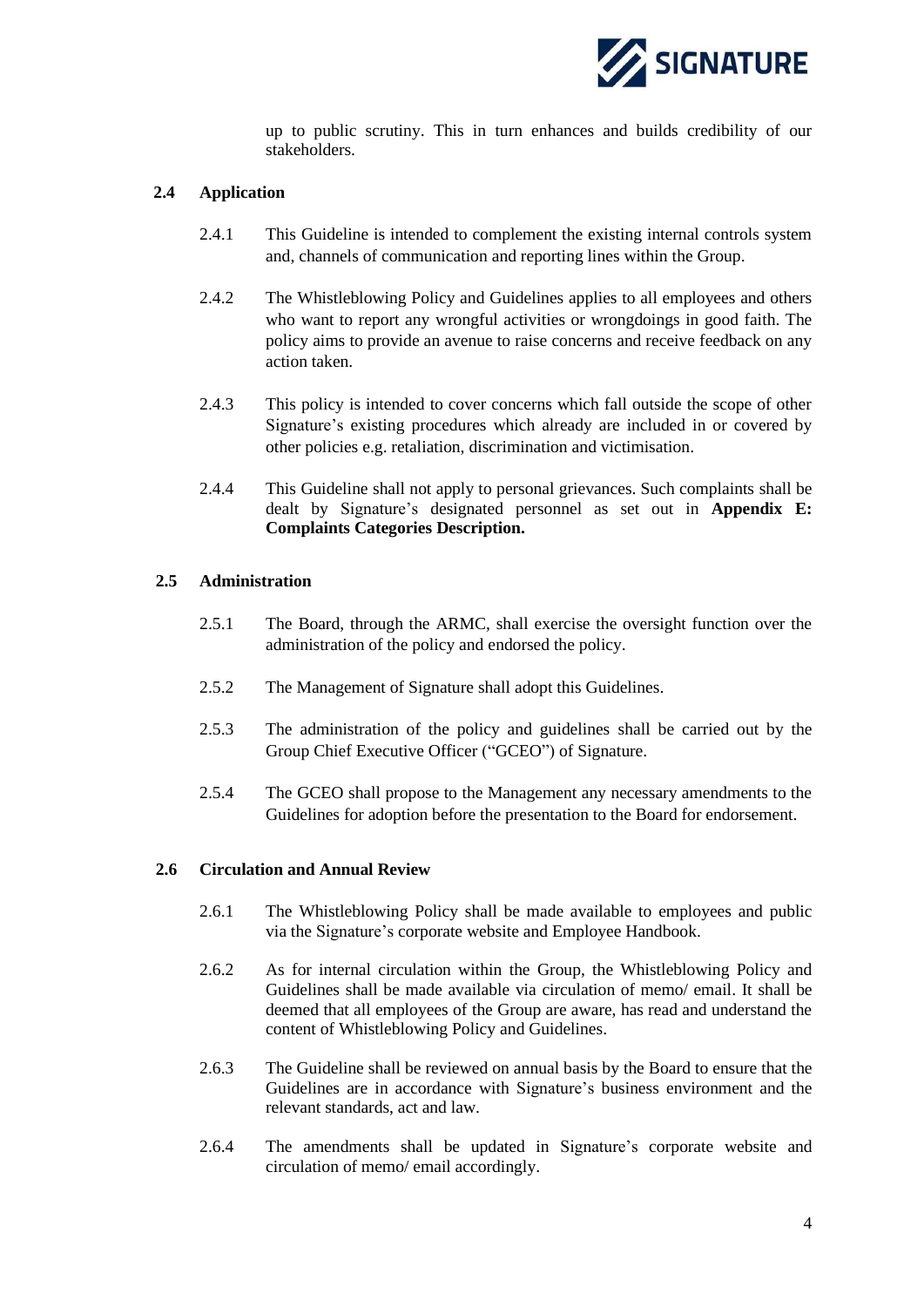

up to public scrutiny. This in turn enhances and builds credibility of our stakeholders.

#### <span id="page-5-0"></span>**2.4 Application**

- 2.4.1 This Guideline is intended to complement the existing internal controls system and, channels of communication and reporting lines within the Group.
- 2.4.2 The Whistleblowing Policy and Guidelines applies to all employees and others who want to report any wrongful activities or wrongdoings in good faith. The policy aims to provide an avenue to raise concerns and receive feedback on any action taken.
- 2.4.3 This policy is intended to cover concerns which fall outside the scope of other Signature's existing procedures which already are included in or covered by other policies e.g. retaliation, discrimination and victimisation.
- 2.4.4 This Guideline shall not apply to personal grievances. Such complaints shall be dealt by Signature's designated personnel as set out in **Appendix E: Complaints Categories Description.**

#### <span id="page-5-1"></span>**2.5 Administration**

- 2.5.1 The Board, through the ARMC, shall exercise the oversight function over the administration of the policy and endorsed the policy.
- 2.5.2 The Management of Signature shall adopt this Guidelines.
- 2.5.3 The administration of the policy and guidelines shall be carried out by the Group Chief Executive Officer ("GCEO") of Signature.
- 2.5.4 The GCEO shall propose to the Management any necessary amendments to the Guidelines for adoption before the presentation to the Board for endorsement.

#### <span id="page-5-2"></span>**2.6 Circulation and Annual Review**

- 2.6.1 The Whistleblowing Policy shall be made available to employees and public via the Signature's corporate website and Employee Handbook.
- 2.6.2 As for internal circulation within the Group, the Whistleblowing Policy and Guidelines shall be made available via circulation of memo/ email. It shall be deemed that all employees of the Group are aware, has read and understand the content of Whistleblowing Policy and Guidelines.
- 2.6.3 The Guideline shall be reviewed on annual basis by the Board to ensure that the Guidelines are in accordance with Signature's business environment and the relevant standards, act and law.
- <span id="page-5-3"></span>2.6.4 The amendments shall be updated in Signature's corporate website and circulation of memo/ email accordingly.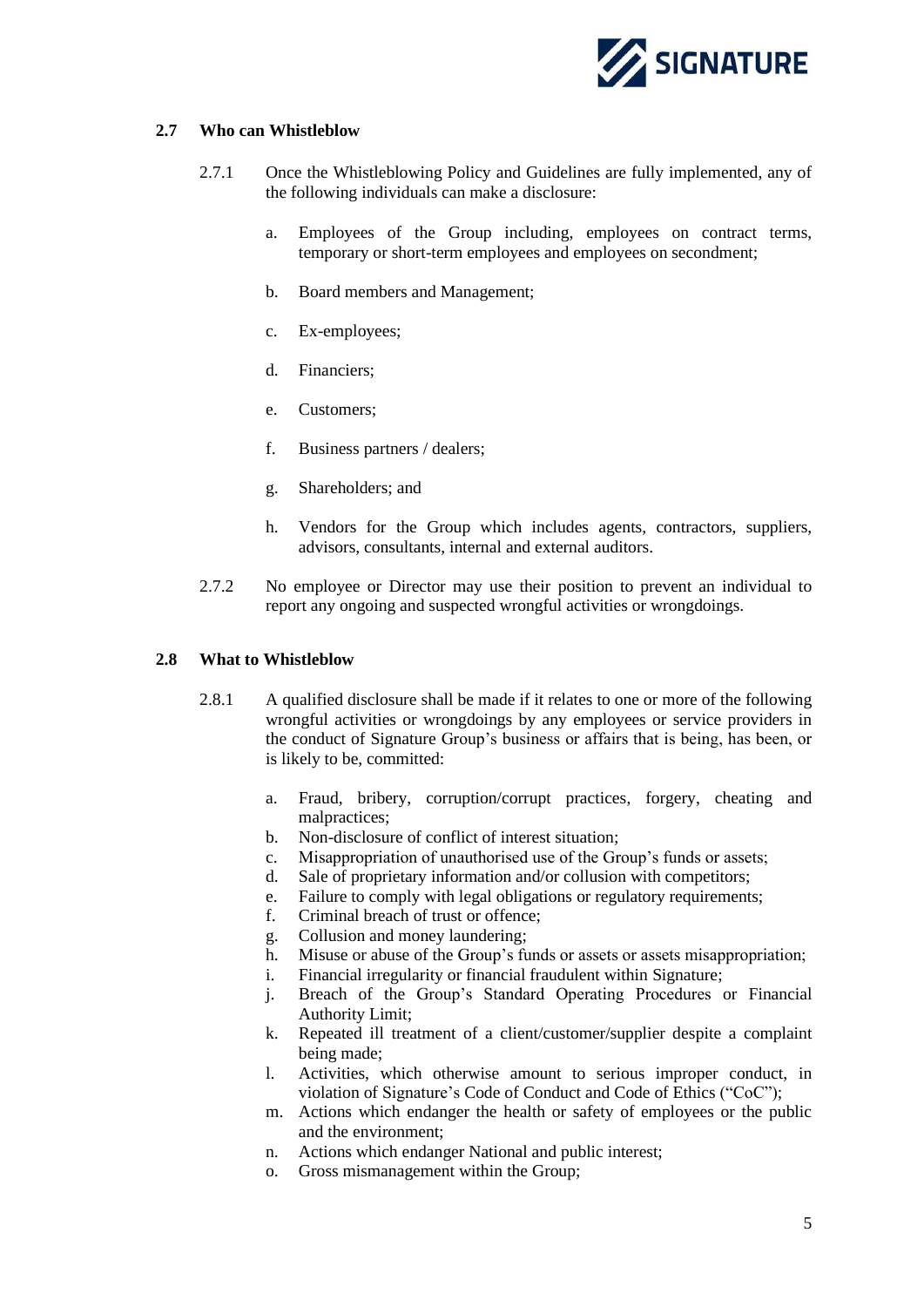

#### **2.7 Who can Whistleblow**

- 2.7.1 Once the Whistleblowing Policy and Guidelines are fully implemented, any of the following individuals can make a disclosure:
	- a. Employees of the Group including, employees on contract terms, temporary or short-term employees and employees on secondment;
	- b. Board members and Management;
	- c. Ex-employees;
	- d. Financiers;
	- e. Customers;
	- f. Business partners / dealers;
	- g. Shareholders; and
	- h. Vendors for the Group which includes agents, contractors, suppliers, advisors, consultants, internal and external auditors.
- 2.7.2 No employee or Director may use their position to prevent an individual to report any ongoing and suspected wrongful activities or wrongdoings.

#### <span id="page-6-0"></span>**2.8 What to Whistleblow**

- 2.8.1 A qualified disclosure shall be made if it relates to one or more of the following wrongful activities or wrongdoings by any employees or service providers in the conduct of Signature Group's business or affairs that is being, has been, or is likely to be, committed:
	- a. Fraud, bribery, corruption/corrupt practices, forgery, cheating and malpractices;
	- b. Non-disclosure of conflict of interest situation;
	- c. Misappropriation of unauthorised use of the Group's funds or assets;
	- d. Sale of proprietary information and/or collusion with competitors;
	- e. Failure to comply with legal obligations or regulatory requirements;
	- f. Criminal breach of trust or offence;
	- g. Collusion and money laundering;
	- h. Misuse or abuse of the Group's funds or assets or assets misappropriation;
	- i. Financial irregularity or financial fraudulent within Signature;
	- j. Breach of the Group's Standard Operating Procedures or Financial Authority Limit;
	- k. Repeated ill treatment of a client/customer/supplier despite a complaint being made;
	- l. Activities, which otherwise amount to serious improper conduct, in violation of Signature's Code of Conduct and Code of Ethics ("CoC");
	- m. Actions which endanger the health or safety of employees or the public and the environment;
	- n. Actions which endanger National and public interest;
	- o. Gross mismanagement within the Group;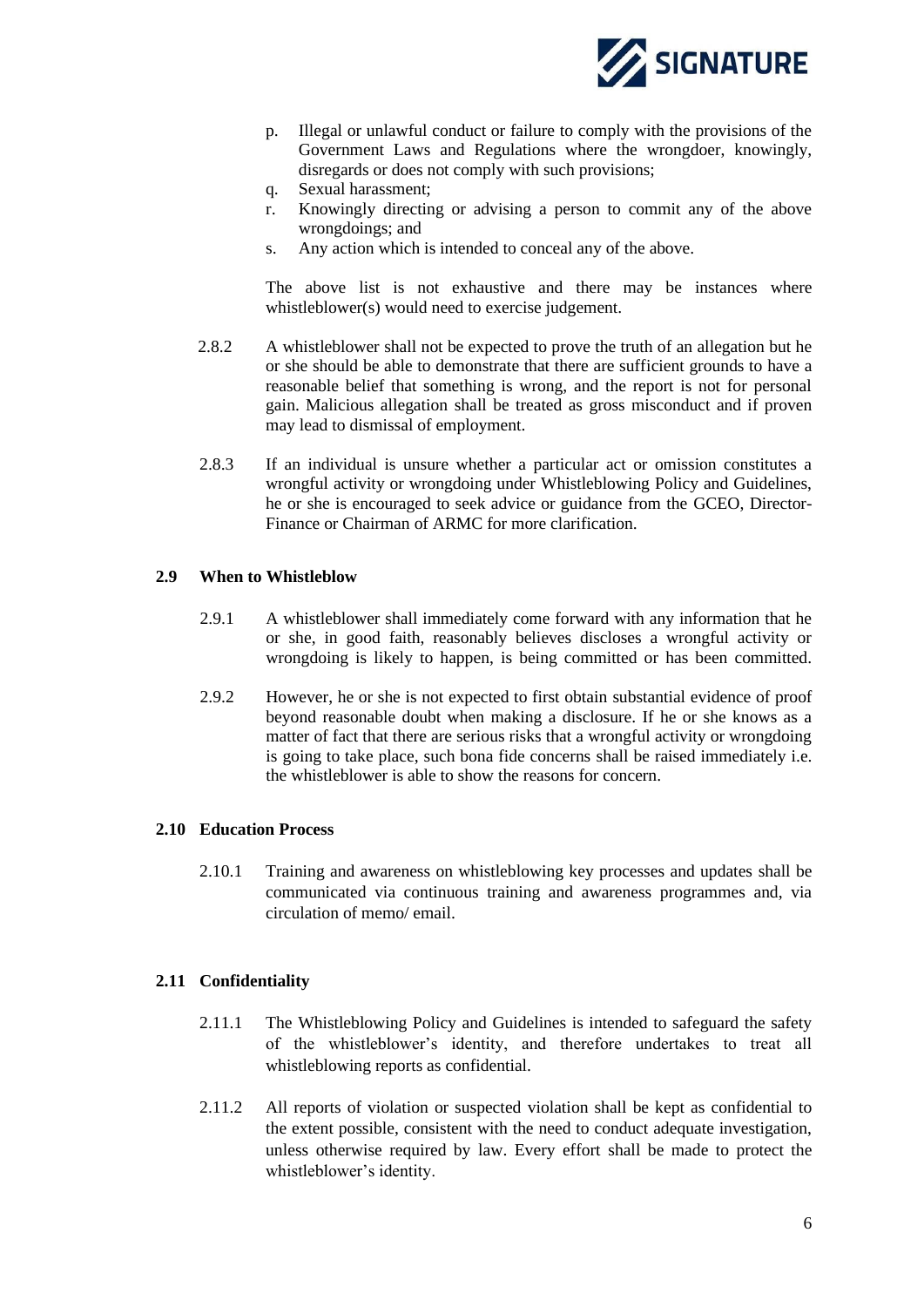

- p. Illegal or unlawful conduct or failure to comply with the provisions of the Government Laws and Regulations where the wrongdoer, knowingly, disregards or does not comply with such provisions;
- q. Sexual harassment;
- r. Knowingly directing or advising a person to commit any of the above wrongdoings; and
- s. Any action which is intended to conceal any of the above.

The above list is not exhaustive and there may be instances where whistleblower(s) would need to exercise judgement.

- 2.8.2 A whistleblower shall not be expected to prove the truth of an allegation but he or she should be able to demonstrate that there are sufficient grounds to have a reasonable belief that something is wrong, and the report is not for personal gain. Malicious allegation shall be treated as gross misconduct and if proven may lead to dismissal of employment.
- 2.8.3 If an individual is unsure whether a particular act or omission constitutes a wrongful activity or wrongdoing under Whistleblowing Policy and Guidelines, he or she is encouraged to seek advice or guidance from the GCEO, Director-Finance or Chairman of ARMC for more clarification.

#### <span id="page-7-0"></span>**2.9 When to Whistleblow**

- 2.9.1 A whistleblower shall immediately come forward with any information that he or she, in good faith, reasonably believes discloses a wrongful activity or wrongdoing is likely to happen, is being committed or has been committed.
- 2.9.2 However, he or she is not expected to first obtain substantial evidence of proof beyond reasonable doubt when making a disclosure. If he or she knows as a matter of fact that there are serious risks that a wrongful activity or wrongdoing is going to take place, such bona fide concerns shall be raised immediately i.e. the whistleblower is able to show the reasons for concern.

#### <span id="page-7-1"></span>**2.10 Education Process**

2.10.1 Training and awareness on whistleblowing key processes and updates shall be communicated via continuous training and awareness programmes and, via circulation of memo/ email.

#### <span id="page-7-2"></span>**2.11 Confidentiality**

- 2.11.1 The Whistleblowing Policy and Guidelines is intended to safeguard the safety of the whistleblower's identity, and therefore undertakes to treat all whistleblowing reports as confidential.
- 2.11.2 All reports of violation or suspected violation shall be kept as confidential to the extent possible, consistent with the need to conduct adequate investigation, unless otherwise required by law. Every effort shall be made to protect the whistleblower's identity.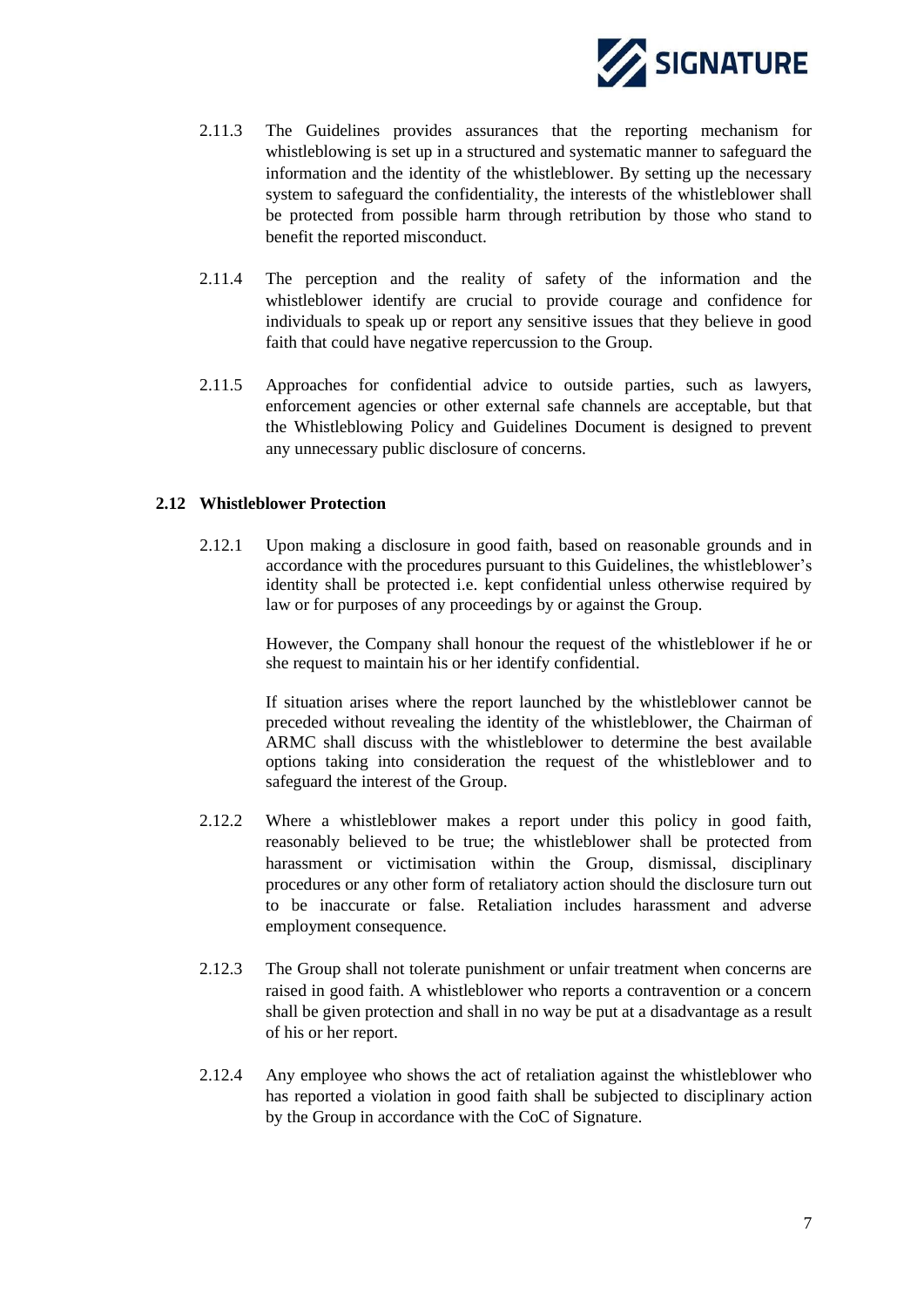

- 2.11.3 The Guidelines provides assurances that the reporting mechanism for whistleblowing is set up in a structured and systematic manner to safeguard the information and the identity of the whistleblower. By setting up the necessary system to safeguard the confidentiality, the interests of the whistleblower shall be protected from possible harm through retribution by those who stand to benefit the reported misconduct.
- 2.11.4 The perception and the reality of safety of the information and the whistleblower identify are crucial to provide courage and confidence for individuals to speak up or report any sensitive issues that they believe in good faith that could have negative repercussion to the Group.
- 2.11.5 Approaches for confidential advice to outside parties, such as lawyers, enforcement agencies or other external safe channels are acceptable, but that the Whistleblowing Policy and Guidelines Document is designed to prevent any unnecessary public disclosure of concerns.

#### <span id="page-8-0"></span>**2.12 Whistleblower Protection**

2.12.1 Upon making a disclosure in good faith, based on reasonable grounds and in accordance with the procedures pursuant to this Guidelines, the whistleblower's identity shall be protected i.e. kept confidential unless otherwise required by law or for purposes of any proceedings by or against the Group.

> However, the Company shall honour the request of the whistleblower if he or she request to maintain his or her identify confidential.

> If situation arises where the report launched by the whistleblower cannot be preceded without revealing the identity of the whistleblower, the Chairman of ARMC shall discuss with the whistleblower to determine the best available options taking into consideration the request of the whistleblower and to safeguard the interest of the Group.

- 2.12.2 Where a whistleblower makes a report under this policy in good faith, reasonably believed to be true; the whistleblower shall be protected from harassment or victimisation within the Group, dismissal, disciplinary procedures or any other form of retaliatory action should the disclosure turn out to be inaccurate or false. Retaliation includes harassment and adverse employment consequence.
- 2.12.3 The Group shall not tolerate punishment or unfair treatment when concerns are raised in good faith. A whistleblower who reports a contravention or a concern shall be given protection and shall in no way be put at a disadvantage as a result of his or her report.
- 2.12.4 Any employee who shows the act of retaliation against the whistleblower who has reported a violation in good faith shall be subjected to disciplinary action by the Group in accordance with the CoC of Signature.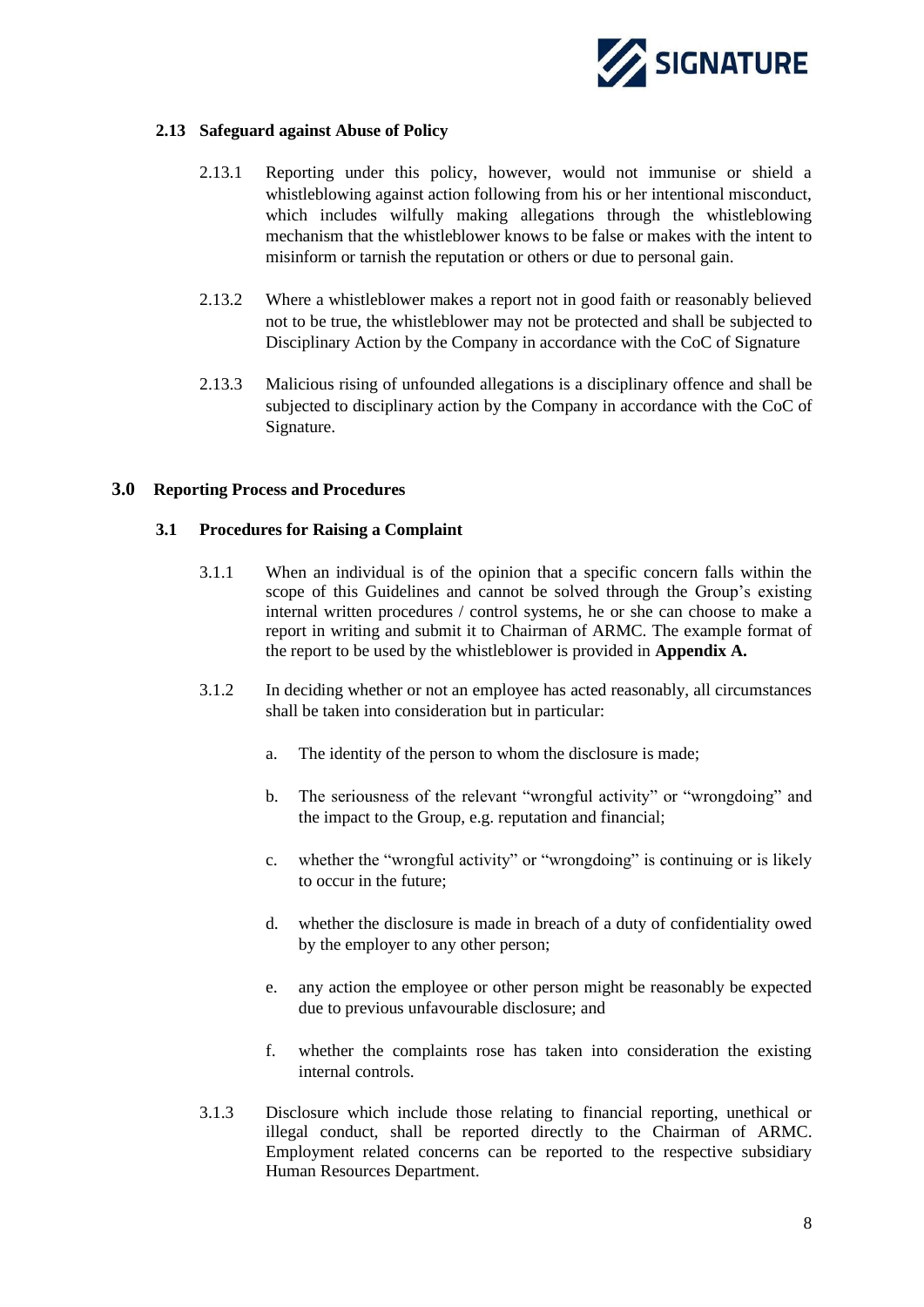

#### <span id="page-9-0"></span>**2.13 Safeguard against Abuse of Policy**

- 2.13.1 Reporting under this policy, however, would not immunise or shield a whistleblowing against action following from his or her intentional misconduct, which includes wilfully making allegations through the whistleblowing mechanism that the whistleblower knows to be false or makes with the intent to misinform or tarnish the reputation or others or due to personal gain.
- 2.13.2 Where a whistleblower makes a report not in good faith or reasonably believed not to be true, the whistleblower may not be protected and shall be subjected to Disciplinary Action by the Company in accordance with the CoC of Signature
- 2.13.3 Malicious rising of unfounded allegations is a disciplinary offence and shall be subjected to disciplinary action by the Company in accordance with the CoC of Signature.

#### <span id="page-9-2"></span><span id="page-9-1"></span>**3.0 Reporting Process and Procedures**

#### **3.1 Procedures for Raising a Complaint**

- 3.1.1 When an individual is of the opinion that a specific concern falls within the scope of this Guidelines and cannot be solved through the Group's existing internal written procedures / control systems, he or she can choose to make a report in writing and submit it to Chairman of ARMC. The example format of the report to be used by the whistleblower is provided in **Appendix A.**
- 3.1.2 In deciding whether or not an employee has acted reasonably, all circumstances shall be taken into consideration but in particular:
	- a. The identity of the person to whom the disclosure is made;
	- b. The seriousness of the relevant "wrongful activity" or "wrongdoing" and the impact to the Group, e.g. reputation and financial;
	- c. whether the "wrongful activity" or "wrongdoing" is continuing or is likely to occur in the future;
	- d. whether the disclosure is made in breach of a duty of confidentiality owed by the employer to any other person;
	- e. any action the employee or other person might be reasonably be expected due to previous unfavourable disclosure; and
	- f. whether the complaints rose has taken into consideration the existing internal controls.
- 3.1.3 Disclosure which include those relating to financial reporting, unethical or illegal conduct, shall be reported directly to the Chairman of ARMC. Employment related concerns can be reported to the respective subsidiary Human Resources Department.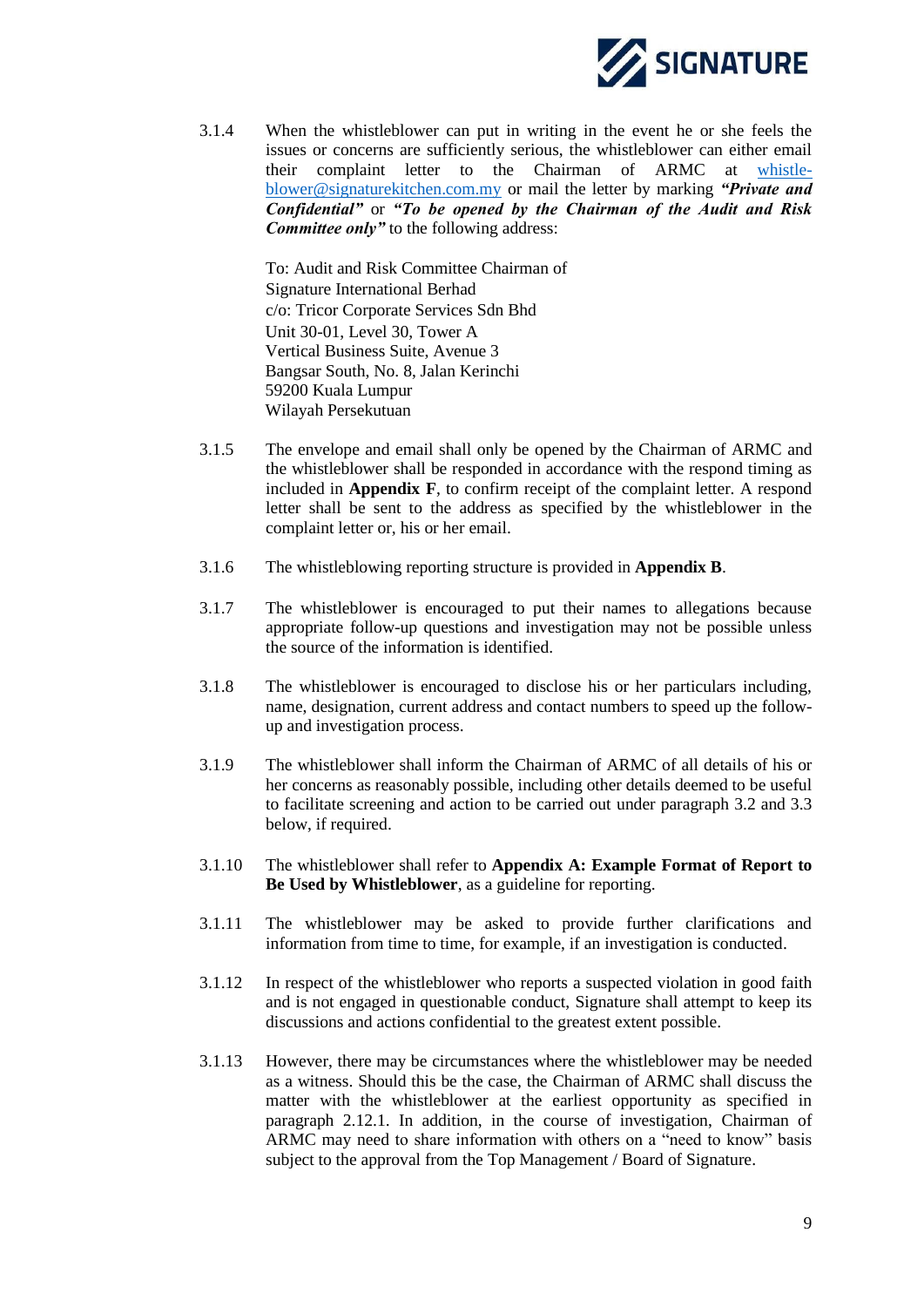

3.1.4 When the whistleblower can put in writing in the event he or she feels the issues or concerns are sufficiently serious, the whistleblower can either email their complaint letter to the Chairman of ARMC at [whistle](mailto:whistle-blower@signaturekitchen.com.my)[blower@signaturekitchen.com.my](mailto:whistle-blower@signaturekitchen.com.my) or mail the letter by marking *"Private and Confidential"* or *"To be opened by the Chairman of the Audit and Risk Committee only"* to the following address:

> To: Audit and Risk Committee Chairman of Signature International Berhad c/o: Tricor Corporate Services Sdn Bhd Unit 30-01, Level 30, Tower A Vertical Business Suite, Avenue 3 Bangsar South, No. 8, Jalan Kerinchi 59200 Kuala Lumpur Wilayah Persekutuan

- 3.1.5 The envelope and email shall only be opened by the Chairman of ARMC and the whistleblower shall be responded in accordance with the respond timing as included in **Appendix F**, to confirm receipt of the complaint letter. A respond letter shall be sent to the address as specified by the whistleblower in the complaint letter or, his or her email.
- 3.1.6 The whistleblowing reporting structure is provided in **Appendix B**.
- 3.1.7 The whistleblower is encouraged to put their names to allegations because appropriate follow-up questions and investigation may not be possible unless the source of the information is identified.
- 3.1.8 The whistleblower is encouraged to disclose his or her particulars including, name, designation, current address and contact numbers to speed up the followup and investigation process.
- 3.1.9 The whistleblower shall inform the Chairman of ARMC of all details of his or her concerns as reasonably possible, including other details deemed to be useful to facilitate screening and action to be carried out under paragraph 3.2 and 3.3 below, if required.
- 3.1.10 The whistleblower shall refer to **Appendix A: Example Format of Report to Be Used by Whistleblower**, as a guideline for reporting.
- 3.1.11 The whistleblower may be asked to provide further clarifications and information from time to time, for example, if an investigation is conducted.
- 3.1.12 In respect of the whistleblower who reports a suspected violation in good faith and is not engaged in questionable conduct, Signature shall attempt to keep its discussions and actions confidential to the greatest extent possible.
- 3.1.13 However, there may be circumstances where the whistleblower may be needed as a witness. Should this be the case, the Chairman of ARMC shall discuss the matter with the whistleblower at the earliest opportunity as specified in paragraph 2.12.1. In addition, in the course of investigation, Chairman of ARMC may need to share information with others on a "need to know" basis subject to the approval from the Top Management / Board of Signature.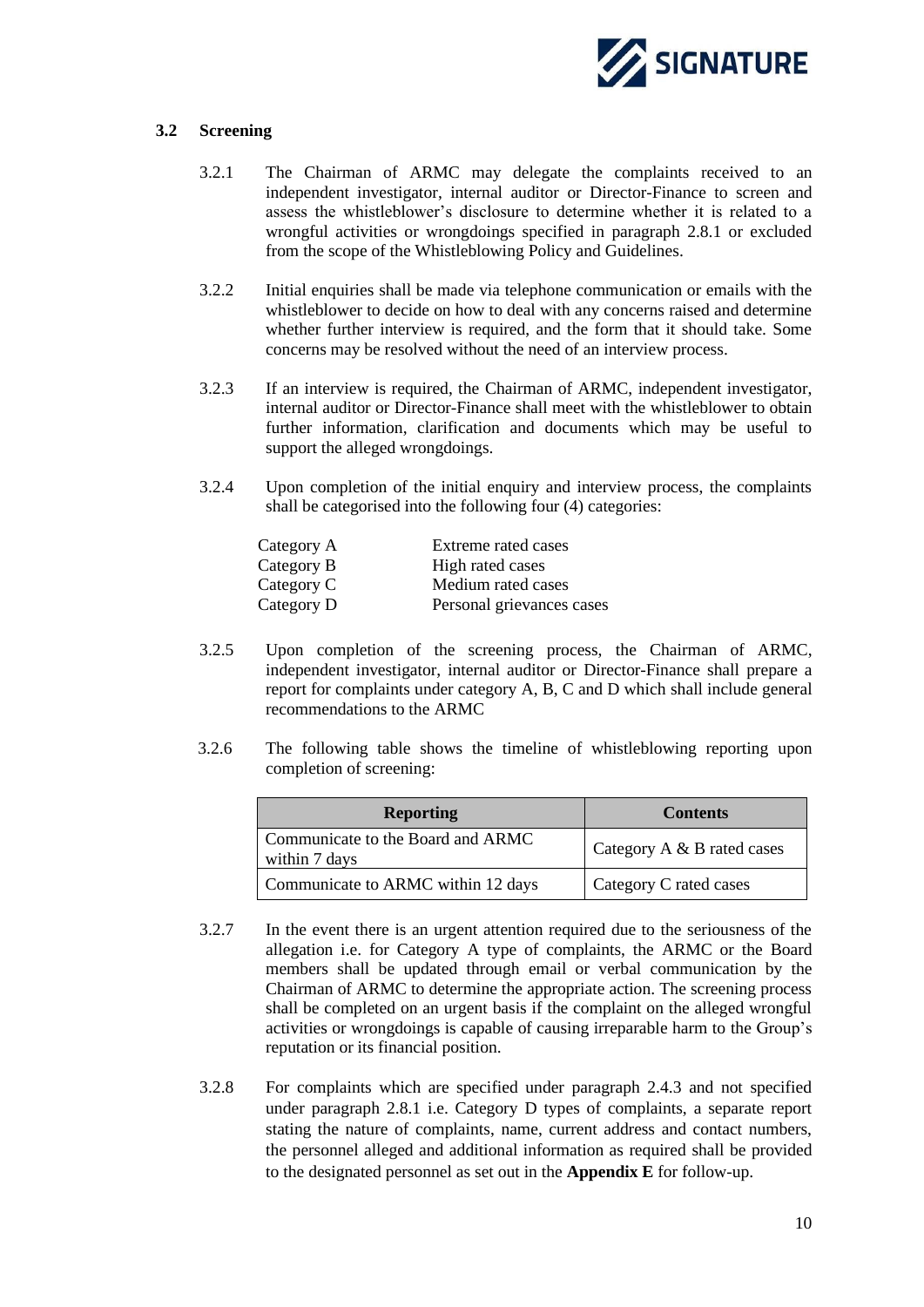

#### <span id="page-11-0"></span>**3.2 Screening**

- 3.2.1 The Chairman of ARMC may delegate the complaints received to an independent investigator, internal auditor or Director-Finance to screen and assess the whistleblower's disclosure to determine whether it is related to a wrongful activities or wrongdoings specified in paragraph 2.8.1 or excluded from the scope of the Whistleblowing Policy and Guidelines.
- 3.2.2 Initial enquiries shall be made via telephone communication or emails with the whistleblower to decide on how to deal with any concerns raised and determine whether further interview is required, and the form that it should take. Some concerns may be resolved without the need of an interview process.
- 3.2.3 If an interview is required, the Chairman of ARMC, independent investigator, internal auditor or Director-Finance shall meet with the whistleblower to obtain further information, clarification and documents which may be useful to support the alleged wrongdoings.
- 3.2.4 Upon completion of the initial enquiry and interview process, the complaints shall be categorised into the following four (4) categories:

| Category A | Extreme rated cases       |
|------------|---------------------------|
| Category B | High rated cases          |
| Category C | Medium rated cases        |
| Category D | Personal grievances cases |

- 3.2.5 Upon completion of the screening process, the Chairman of ARMC, independent investigator, internal auditor or Director-Finance shall prepare a report for complaints under category A, B, C and D which shall include general recommendations to the ARMC
- 3.2.6 The following table shows the timeline of whistleblowing reporting upon completion of screening:

| <b>Reporting</b>                                   | <b>Contents</b>            |  |
|----------------------------------------------------|----------------------------|--|
| Communicate to the Board and ARMC<br>within 7 days | Category A & B rated cases |  |
| Communicate to ARMC within 12 days                 | Category C rated cases     |  |

- 3.2.7 In the event there is an urgent attention required due to the seriousness of the allegation i.e. for Category A type of complaints, the ARMC or the Board members shall be updated through email or verbal communication by the Chairman of ARMC to determine the appropriate action. The screening process shall be completed on an urgent basis if the complaint on the alleged wrongful activities or wrongdoings is capable of causing irreparable harm to the Group's reputation or its financial position.
- 3.2.8 For complaints which are specified under paragraph 2.4.3 and not specified under paragraph 2.8.1 i.e. Category D types of complaints, a separate report stating the nature of complaints, name, current address and contact numbers, the personnel alleged and additional information as required shall be provided to the designated personnel as set out in the **Appendix E** for follow-up.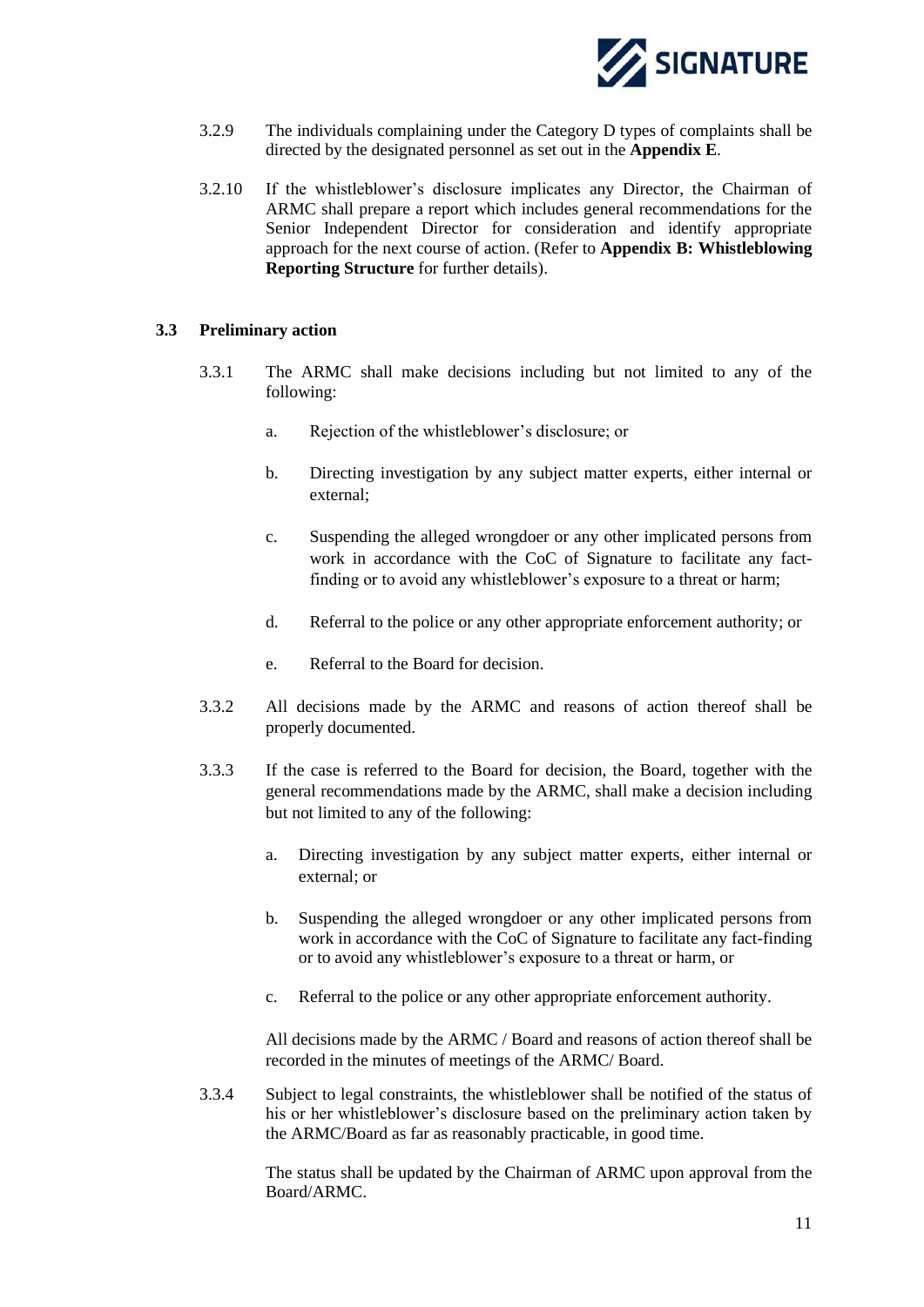

- 3.2.9 The individuals complaining under the Category D types of complaints shall be directed by the designated personnel as set out in the **Appendix E**.
- 3.2.10 If the whistleblower's disclosure implicates any Director, the Chairman of ARMC shall prepare a report which includes general recommendations for the Senior Independent Director for consideration and identify appropriate approach for the next course of action. (Refer to **Appendix B: Whistleblowing Reporting Structure** for further details).

#### <span id="page-12-0"></span>**3.3 Preliminary action**

- 3.3.1 The ARMC shall make decisions including but not limited to any of the following:
	- a. Rejection of the whistleblower's disclosure; or
	- b. Directing investigation by any subject matter experts, either internal or external;
	- c. Suspending the alleged wrongdoer or any other implicated persons from work in accordance with the CoC of Signature to facilitate any factfinding or to avoid any whistleblower's exposure to a threat or harm;
	- d. Referral to the police or any other appropriate enforcement authority; or
	- e. Referral to the Board for decision.
- 3.3.2 All decisions made by the ARMC and reasons of action thereof shall be properly documented.
- 3.3.3 If the case is referred to the Board for decision, the Board, together with the general recommendations made by the ARMC, shall make a decision including but not limited to any of the following:
	- a. Directing investigation by any subject matter experts, either internal or external; or
	- b. Suspending the alleged wrongdoer or any other implicated persons from work in accordance with the CoC of Signature to facilitate any fact-finding or to avoid any whistleblower's exposure to a threat or harm, or
	- c. Referral to the police or any other appropriate enforcement authority.

All decisions made by the ARMC / Board and reasons of action thereof shall be recorded in the minutes of meetings of the ARMC/ Board.

3.3.4 Subject to legal constraints, the whistleblower shall be notified of the status of his or her whistleblower's disclosure based on the preliminary action taken by the ARMC/Board as far as reasonably practicable, in good time.

> The status shall be updated by the Chairman of ARMC upon approval from the Board/ARMC.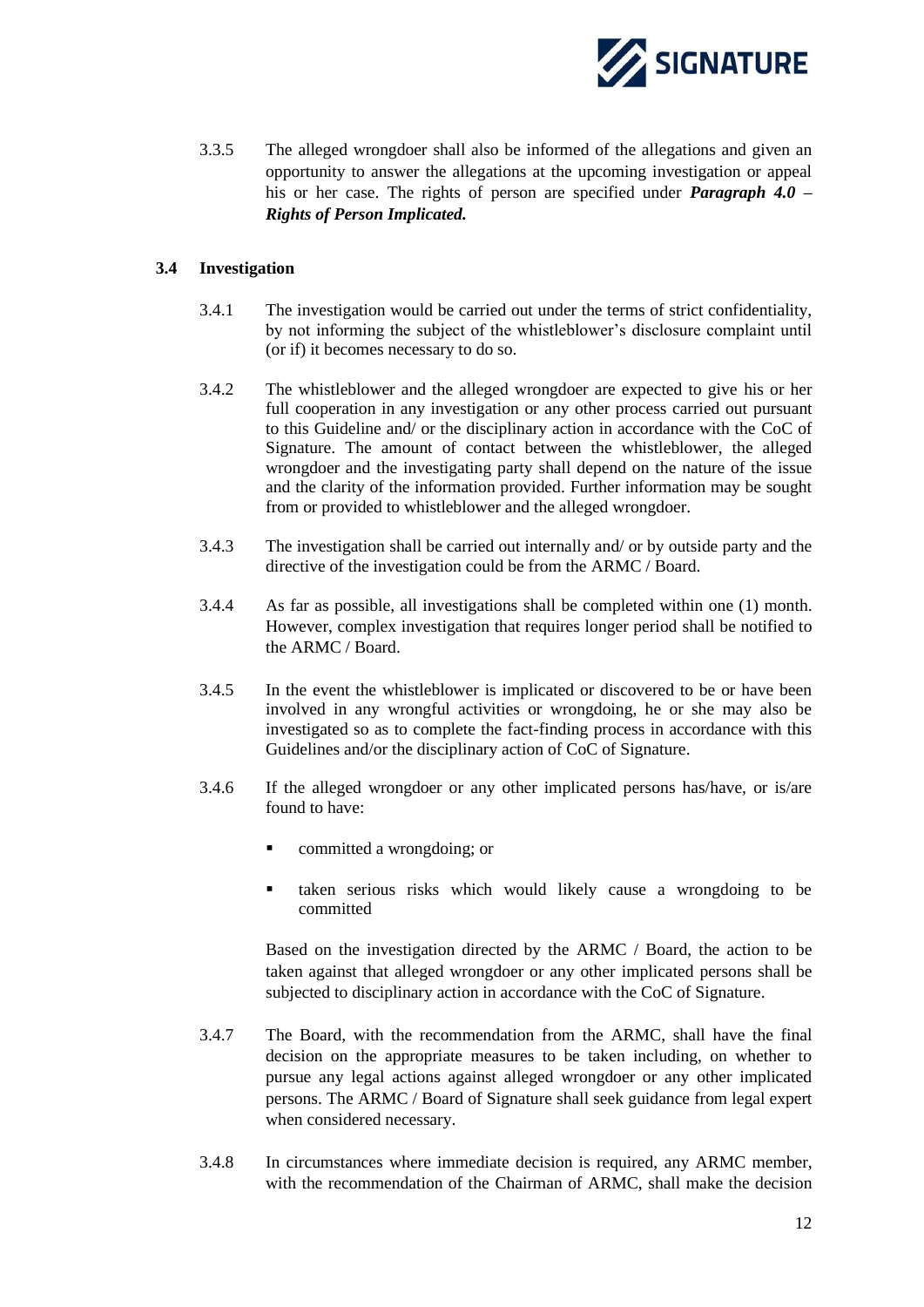

3.3.5 The alleged wrongdoer shall also be informed of the allegations and given an opportunity to answer the allegations at the upcoming investigation or appeal his or her case. The rights of person are specified under *Paragraph 4.0 – Rights of Person Implicated.*

#### <span id="page-13-0"></span>**3.4 Investigation**

- 3.4.1 The investigation would be carried out under the terms of strict confidentiality, by not informing the subject of the whistleblower's disclosure complaint until (or if) it becomes necessary to do so.
- 3.4.2 The whistleblower and the alleged wrongdoer are expected to give his or her full cooperation in any investigation or any other process carried out pursuant to this Guideline and/ or the disciplinary action in accordance with the CoC of Signature. The amount of contact between the whistleblower, the alleged wrongdoer and the investigating party shall depend on the nature of the issue and the clarity of the information provided. Further information may be sought from or provided to whistleblower and the alleged wrongdoer.
- 3.4.3 The investigation shall be carried out internally and/ or by outside party and the directive of the investigation could be from the ARMC / Board.
- 3.4.4 As far as possible, all investigations shall be completed within one (1) month. However, complex investigation that requires longer period shall be notified to the ARMC / Board.
- 3.4.5 In the event the whistleblower is implicated or discovered to be or have been involved in any wrongful activities or wrongdoing, he or she may also be investigated so as to complete the fact-finding process in accordance with this Guidelines and/or the disciplinary action of CoC of Signature.
- 3.4.6 If the alleged wrongdoer or any other implicated persons has/have, or is/are found to have:
	- committed a wrongdoing; or
	- taken serious risks which would likely cause a wrongdoing to be committed

Based on the investigation directed by the ARMC / Board, the action to be taken against that alleged wrongdoer or any other implicated persons shall be subjected to disciplinary action in accordance with the CoC of Signature.

- 3.4.7 The Board, with the recommendation from the ARMC, shall have the final decision on the appropriate measures to be taken including, on whether to pursue any legal actions against alleged wrongdoer or any other implicated persons. The ARMC / Board of Signature shall seek guidance from legal expert when considered necessary.
- 3.4.8 In circumstances where immediate decision is required, any ARMC member, with the recommendation of the Chairman of ARMC, shall make the decision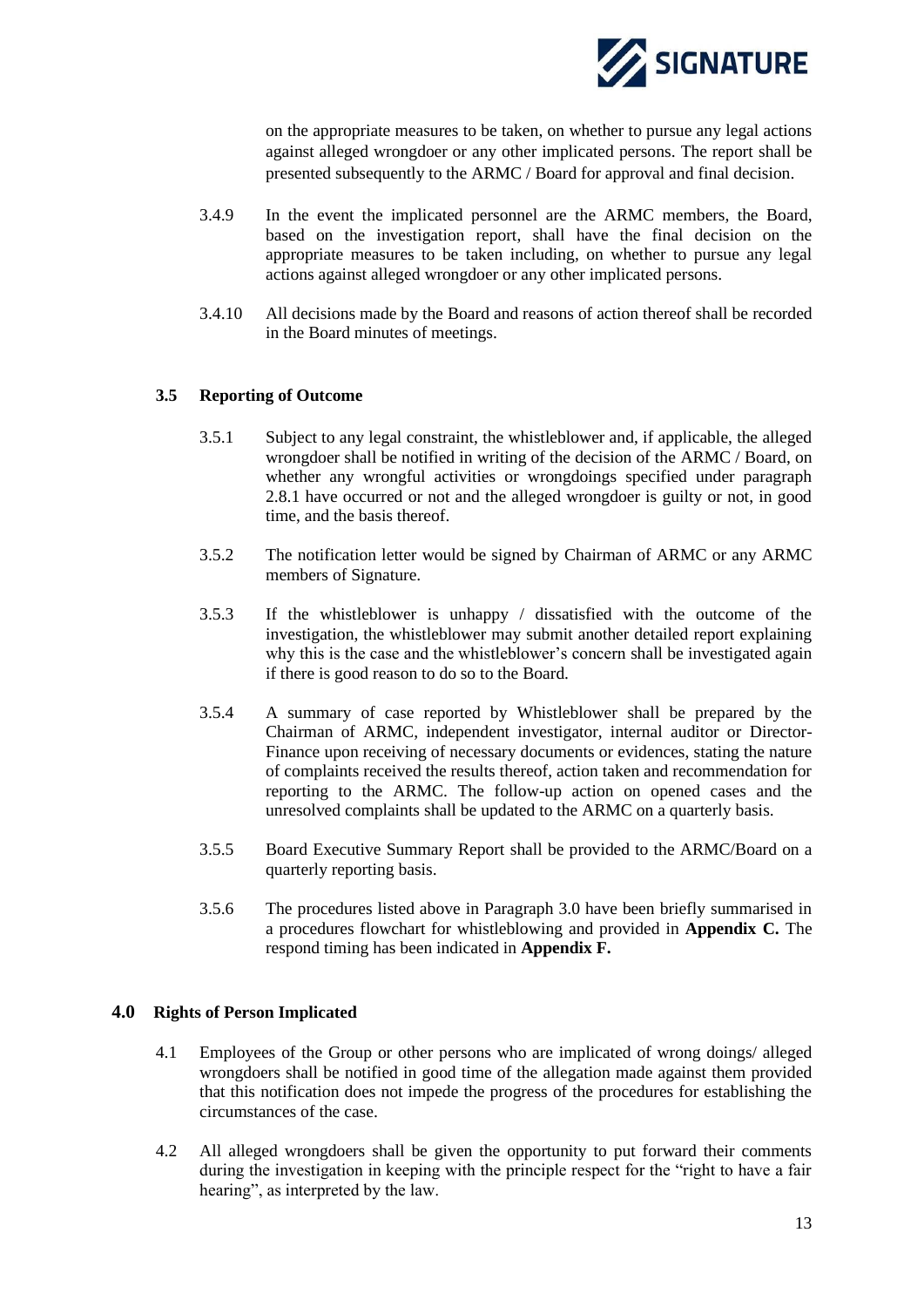

on the appropriate measures to be taken, on whether to pursue any legal actions against alleged wrongdoer or any other implicated persons. The report shall be presented subsequently to the ARMC / Board for approval and final decision.

- 3.4.9 In the event the implicated personnel are the ARMC members, the Board, based on the investigation report, shall have the final decision on the appropriate measures to be taken including, on whether to pursue any legal actions against alleged wrongdoer or any other implicated persons.
- 3.4.10 All decisions made by the Board and reasons of action thereof shall be recorded in the Board minutes of meetings.

#### <span id="page-14-0"></span>**3.5 Reporting of Outcome**

- 3.5.1 Subject to any legal constraint, the whistleblower and, if applicable, the alleged wrongdoer shall be notified in writing of the decision of the ARMC / Board, on whether any wrongful activities or wrongdoings specified under paragraph 2.8.1 have occurred or not and the alleged wrongdoer is guilty or not, in good time, and the basis thereof.
- 3.5.2 The notification letter would be signed by Chairman of ARMC or any ARMC members of Signature.
- 3.5.3 If the whistleblower is unhappy / dissatisfied with the outcome of the investigation, the whistleblower may submit another detailed report explaining why this is the case and the whistleblower's concern shall be investigated again if there is good reason to do so to the Board.
- 3.5.4 A summary of case reported by Whistleblower shall be prepared by the Chairman of ARMC, independent investigator, internal auditor or Director-Finance upon receiving of necessary documents or evidences, stating the nature of complaints received the results thereof, action taken and recommendation for reporting to the ARMC. The follow-up action on opened cases and the unresolved complaints shall be updated to the ARMC on a quarterly basis.
- 3.5.5 Board Executive Summary Report shall be provided to the ARMC/Board on a quarterly reporting basis.
- 3.5.6 The procedures listed above in Paragraph 3.0 have been briefly summarised in a procedures flowchart for whistleblowing and provided in **Appendix C.** The respond timing has been indicated in **Appendix F.**

#### <span id="page-14-1"></span>**4.0 Rights of Person Implicated**

- 4.1 Employees of the Group or other persons who are implicated of wrong doings/ alleged wrongdoers shall be notified in good time of the allegation made against them provided that this notification does not impede the progress of the procedures for establishing the circumstances of the case.
- 4.2 All alleged wrongdoers shall be given the opportunity to put forward their comments during the investigation in keeping with the principle respect for the "right to have a fair hearing", as interpreted by the law.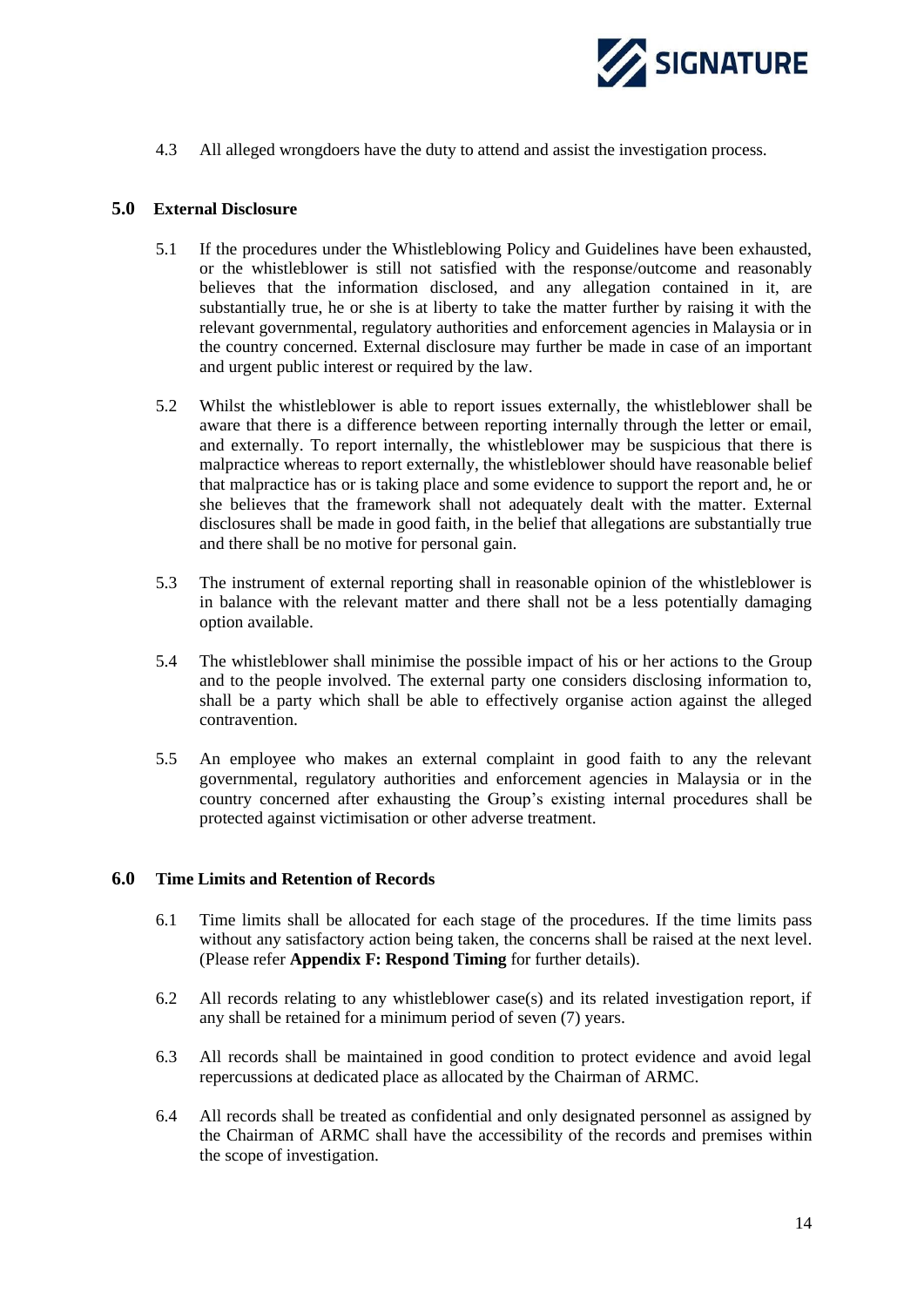

4.3 All alleged wrongdoers have the duty to attend and assist the investigation process.

#### <span id="page-15-0"></span>**5.0 External Disclosure**

- 5.1 If the procedures under the Whistleblowing Policy and Guidelines have been exhausted, or the whistleblower is still not satisfied with the response/outcome and reasonably believes that the information disclosed, and any allegation contained in it, are substantially true, he or she is at liberty to take the matter further by raising it with the relevant governmental, regulatory authorities and enforcement agencies in Malaysia or in the country concerned. External disclosure may further be made in case of an important and urgent public interest or required by the law.
- 5.2 Whilst the whistleblower is able to report issues externally, the whistleblower shall be aware that there is a difference between reporting internally through the letter or email, and externally. To report internally, the whistleblower may be suspicious that there is malpractice whereas to report externally, the whistleblower should have reasonable belief that malpractice has or is taking place and some evidence to support the report and, he or she believes that the framework shall not adequately dealt with the matter. External disclosures shall be made in good faith, in the belief that allegations are substantially true and there shall be no motive for personal gain.
- 5.3 The instrument of external reporting shall in reasonable opinion of the whistleblower is in balance with the relevant matter and there shall not be a less potentially damaging option available.
- 5.4 The whistleblower shall minimise the possible impact of his or her actions to the Group and to the people involved. The external party one considers disclosing information to, shall be a party which shall be able to effectively organise action against the alleged contravention.
- 5.5 An employee who makes an external complaint in good faith to any the relevant governmental, regulatory authorities and enforcement agencies in Malaysia or in the country concerned after exhausting the Group's existing internal procedures shall be protected against victimisation or other adverse treatment.

#### <span id="page-15-1"></span>**6.0 Time Limits and Retention of Records**

- 6.1 Time limits shall be allocated for each stage of the procedures. If the time limits pass without any satisfactory action being taken, the concerns shall be raised at the next level. (Please refer **Appendix F: Respond Timing** for further details).
- 6.2 All records relating to any whistleblower case(s) and its related investigation report, if any shall be retained for a minimum period of seven (7) years.
- 6.3 All records shall be maintained in good condition to protect evidence and avoid legal repercussions at dedicated place as allocated by the Chairman of ARMC.
- 6.4 All records shall be treated as confidential and only designated personnel as assigned by the Chairman of ARMC shall have the accessibility of the records and premises within the scope of investigation.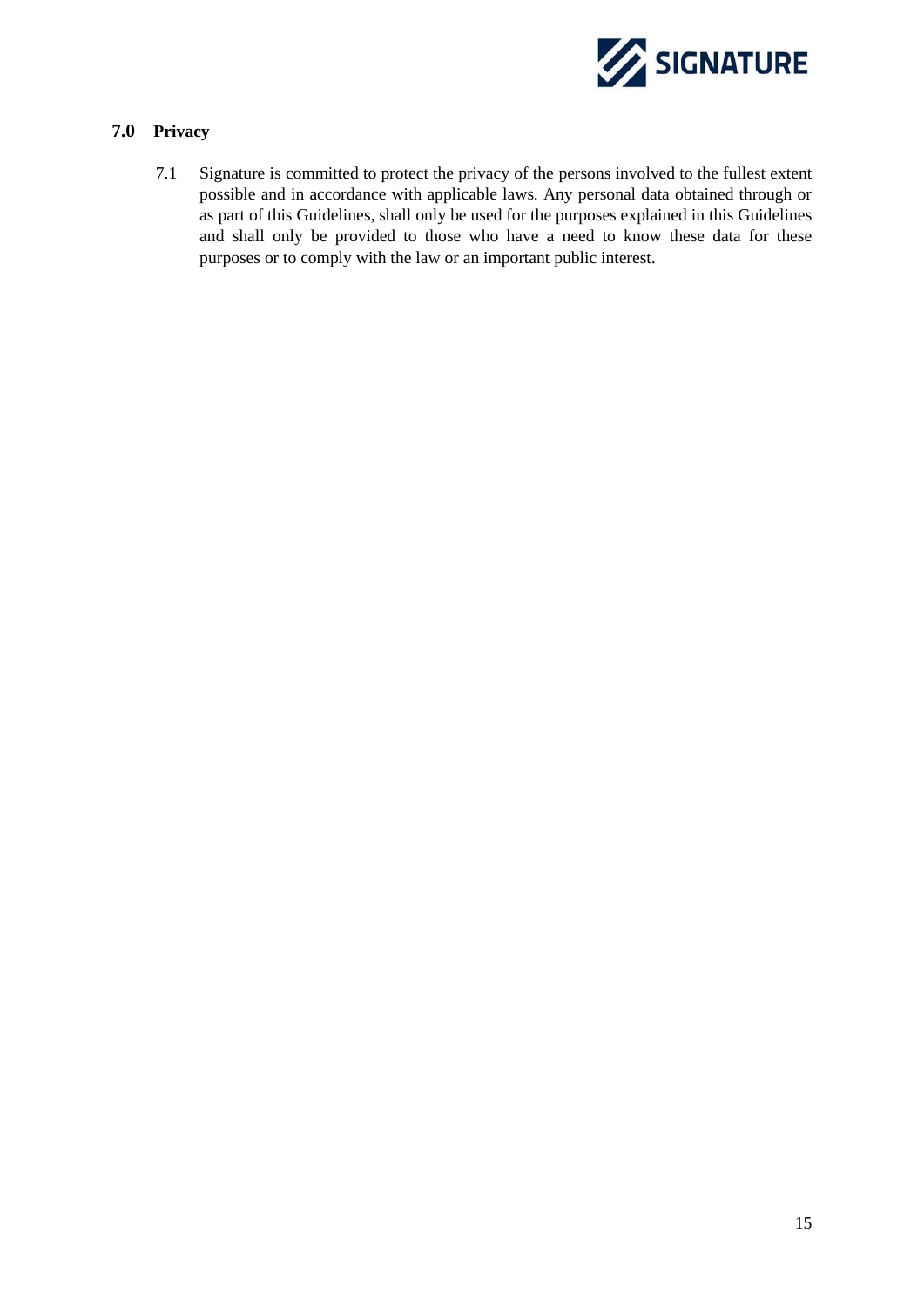

### <span id="page-16-0"></span>**7.0 Privacy**

7.1 Signature is committed to protect the privacy of the persons involved to the fullest extent possible and in accordance with applicable laws. Any personal data obtained through or as part of this Guidelines, shall only be used for the purposes explained in this Guidelines and shall only be provided to those who have a need to know these data for these purposes or to comply with the law or an important public interest.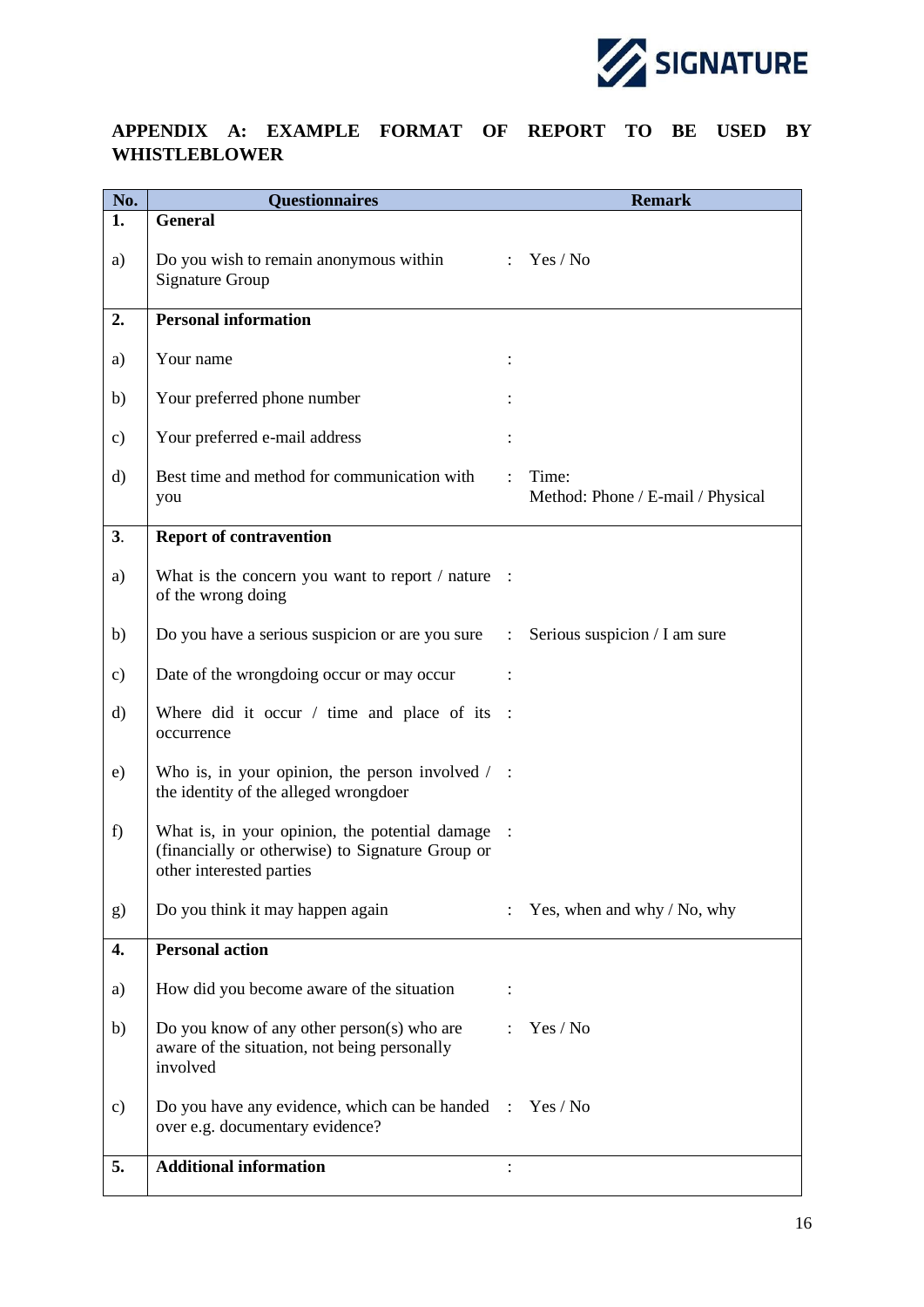

## <span id="page-17-0"></span>**APPENDIX A: EXAMPLE FORMAT OF REPORT TO BE USED BY WHISTLEBLOWER**

| No.           | <b>Questionnaires</b>                                                                                                          |                | <b>Remark</b>                              |
|---------------|--------------------------------------------------------------------------------------------------------------------------------|----------------|--------------------------------------------|
| 1.            | <b>General</b>                                                                                                                 |                |                                            |
| a)            | Do you wish to remain anonymous within<br><b>Signature Group</b>                                                               |                | : $Yes / No$                               |
| 2.            | <b>Personal information</b>                                                                                                    |                |                                            |
|               |                                                                                                                                |                |                                            |
| a)            | Your name                                                                                                                      |                |                                            |
| b)            | Your preferred phone number                                                                                                    |                |                                            |
| c)            | Your preferred e-mail address                                                                                                  |                |                                            |
| $\rm d)$      | Best time and method for communication with<br>you                                                                             |                | Time:<br>Method: Phone / E-mail / Physical |
| 3.            | <b>Report of contravention</b>                                                                                                 |                |                                            |
| a)            | What is the concern you want to report / nature :<br>of the wrong doing                                                        |                |                                            |
| b)            | Do you have a serious suspicion or are you sure                                                                                | $\ddot{\cdot}$ | Serious suspicion / I am sure              |
| c)            | Date of the wrongdoing occur or may occur                                                                                      |                |                                            |
| $\rm d$       | Where did it occur $/$ time and place of its<br>occurrence                                                                     |                |                                            |
| e)            | Who is, in your opinion, the person involved $\ell$ :<br>the identity of the alleged wrongdoer                                 |                |                                            |
| f)            | What is, in your opinion, the potential damage<br>(financially or otherwise) to Signature Group or<br>other interested parties |                |                                            |
| g)            | Do you think it may happen again                                                                                               |                | Yes, when and why / No, why                |
| 4.            | <b>Personal action</b>                                                                                                         |                |                                            |
| a)            | How did you become aware of the situation                                                                                      |                |                                            |
| b)            | Do you know of any other person(s) who are<br>aware of the situation, not being personally<br>involved                         | $\cdot$        | Yes / No                                   |
| $\mathbf{c})$ | Do you have any evidence, which can be handed :<br>over e.g. documentary evidence?                                             |                | Yes / No                                   |
| 5.            | <b>Additional information</b>                                                                                                  |                |                                            |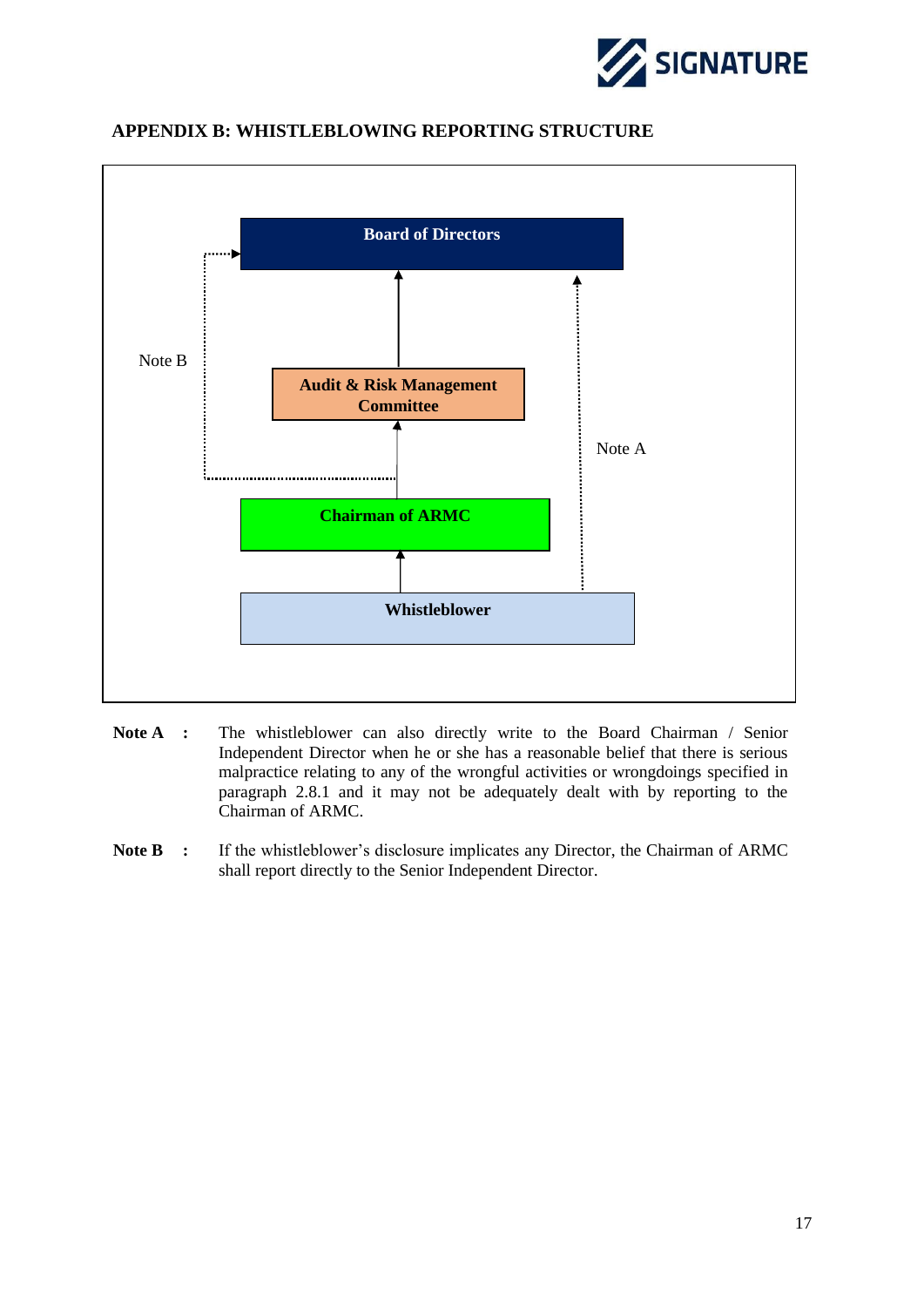



## <span id="page-18-0"></span>**APPENDIX B: WHISTLEBLOWING REPORTING STRUCTURE**

- **Note A :** The whistleblower can also directly write to the Board Chairman / Senior Independent Director when he or she has a reasonable belief that there is serious malpractice relating to any of the wrongful activities or wrongdoings specified in paragraph 2.8.1 and it may not be adequately dealt with by reporting to the Chairman of ARMC.
- Note B : If the whistleblower's disclosure implicates any Director, the Chairman of ARMC shall report directly to the Senior Independent Director.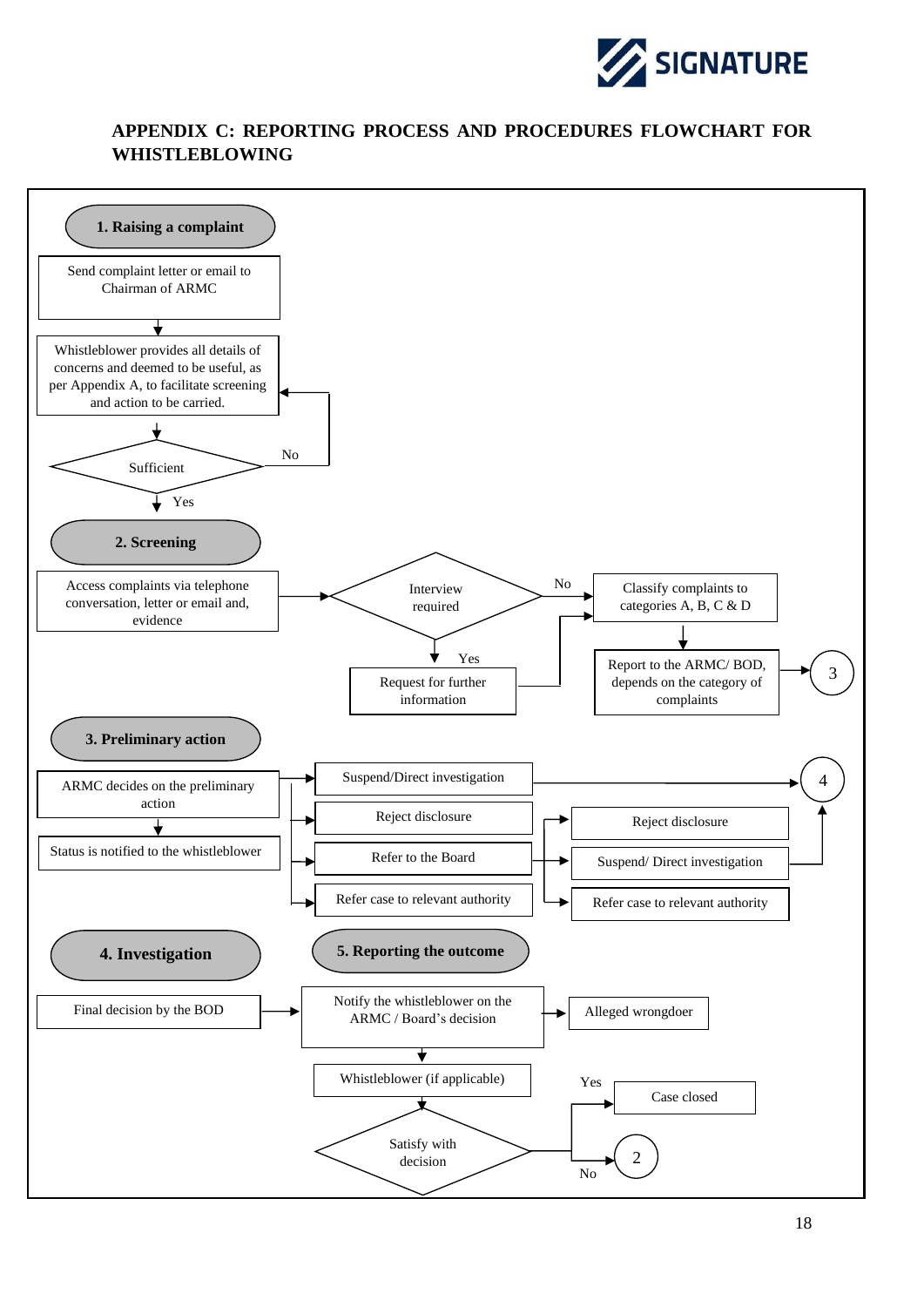![](_page_19_Picture_0.jpeg)

## <span id="page-19-0"></span>**APPENDIX C: REPORTING PROCESS AND PROCEDURES FLOWCHART FOR WHISTLEBLOWING**

![](_page_19_Figure_2.jpeg)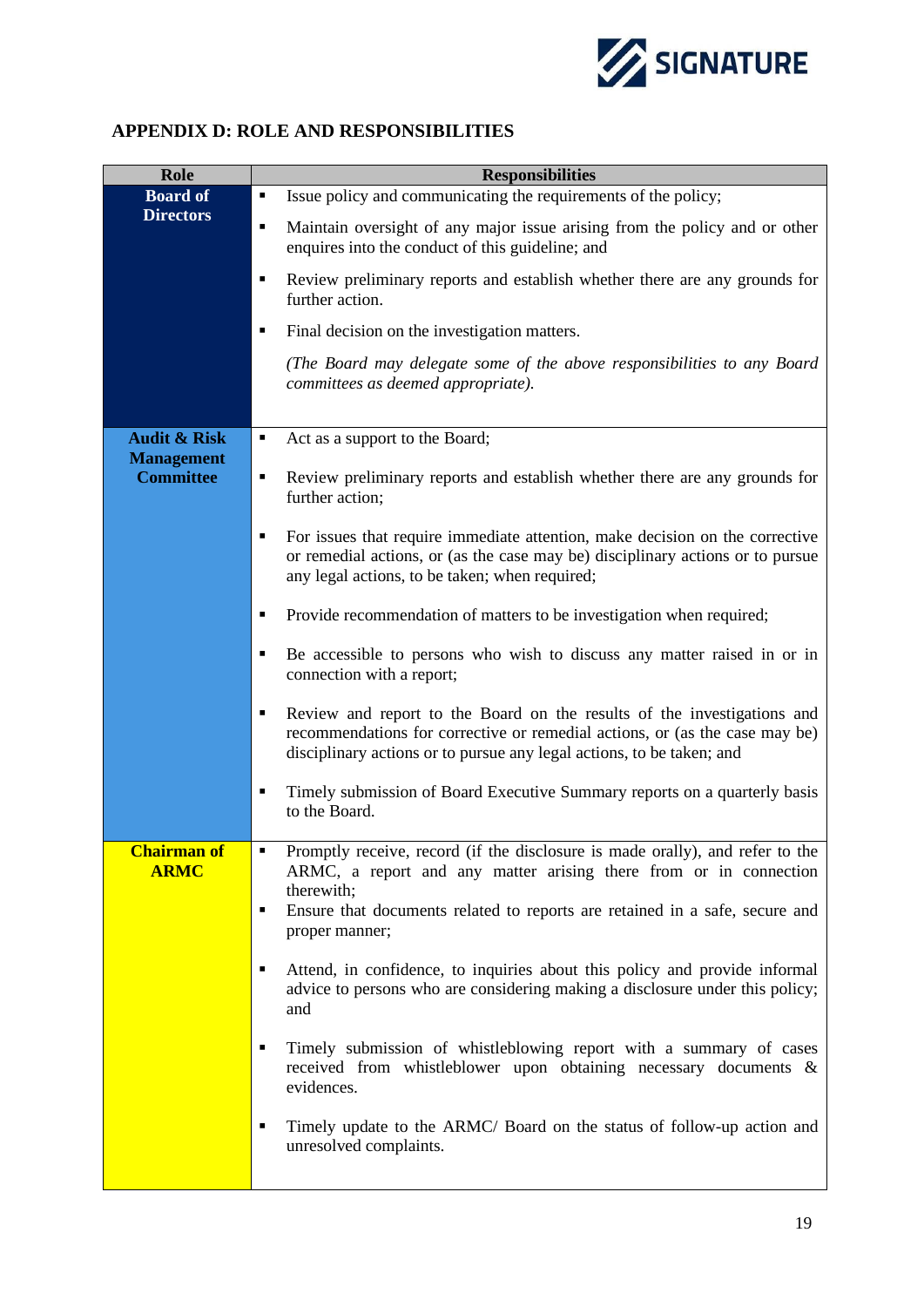![](_page_20_Picture_0.jpeg)

## <span id="page-20-0"></span>**APPENDIX D: ROLE AND RESPONSIBILITIES**

| Role                                  | <b>Responsibilities</b>                                                                                                                                                                                                              |  |  |  |
|---------------------------------------|--------------------------------------------------------------------------------------------------------------------------------------------------------------------------------------------------------------------------------------|--|--|--|
| <b>Board of</b>                       | Issue policy and communicating the requirements of the policy;<br>٠                                                                                                                                                                  |  |  |  |
| <b>Directors</b>                      | Maintain oversight of any major issue arising from the policy and or other<br>٠<br>enquires into the conduct of this guideline; and                                                                                                  |  |  |  |
|                                       | Review preliminary reports and establish whether there are any grounds for<br>٠<br>further action.                                                                                                                                   |  |  |  |
|                                       | Final decision on the investigation matters.<br>$\blacksquare$                                                                                                                                                                       |  |  |  |
|                                       | (The Board may delegate some of the above responsibilities to any Board<br>committees as deemed appropriate).                                                                                                                        |  |  |  |
| <b>Audit &amp; Risk</b>               | Act as a support to the Board;<br>٠                                                                                                                                                                                                  |  |  |  |
| <b>Management</b><br><b>Committee</b> | Review preliminary reports and establish whether there are any grounds for<br>٠<br>further action;                                                                                                                                   |  |  |  |
|                                       | For issues that require immediate attention, make decision on the corrective<br>٠<br>or remedial actions, or (as the case may be) disciplinary actions or to pursue<br>any legal actions, to be taken; when required;                |  |  |  |
|                                       | Provide recommendation of matters to be investigation when required;<br>п                                                                                                                                                            |  |  |  |
|                                       | Be accessible to persons who wish to discuss any matter raised in or in<br>П<br>connection with a report;                                                                                                                            |  |  |  |
|                                       | Review and report to the Board on the results of the investigations and<br>П<br>recommendations for corrective or remedial actions, or (as the case may be)<br>disciplinary actions or to pursue any legal actions, to be taken; and |  |  |  |
|                                       | Timely submission of Board Executive Summary reports on a quarterly basis<br>П<br>to the Board.                                                                                                                                      |  |  |  |
| <b>Chairman of</b><br><b>ARMC</b>     | Promptly receive, record (if the disclosure is made orally), and refer to the<br>$\blacksquare$<br>ARMC, a report and any matter arising there from or in connection<br>therewith;                                                   |  |  |  |
|                                       | Ensure that documents related to reports are retained in a safe, secure and<br>٠<br>proper manner;                                                                                                                                   |  |  |  |
|                                       | Attend, in confidence, to inquiries about this policy and provide informal<br>٠<br>advice to persons who are considering making a disclosure under this policy;<br>and                                                               |  |  |  |
|                                       | Timely submission of whistleblowing report with a summary of cases<br>$\blacksquare$<br>received from whistleblower upon obtaining necessary documents &<br>evidences.                                                               |  |  |  |
|                                       | Timely update to the ARMC/ Board on the status of follow-up action and<br>٠<br>unresolved complaints.                                                                                                                                |  |  |  |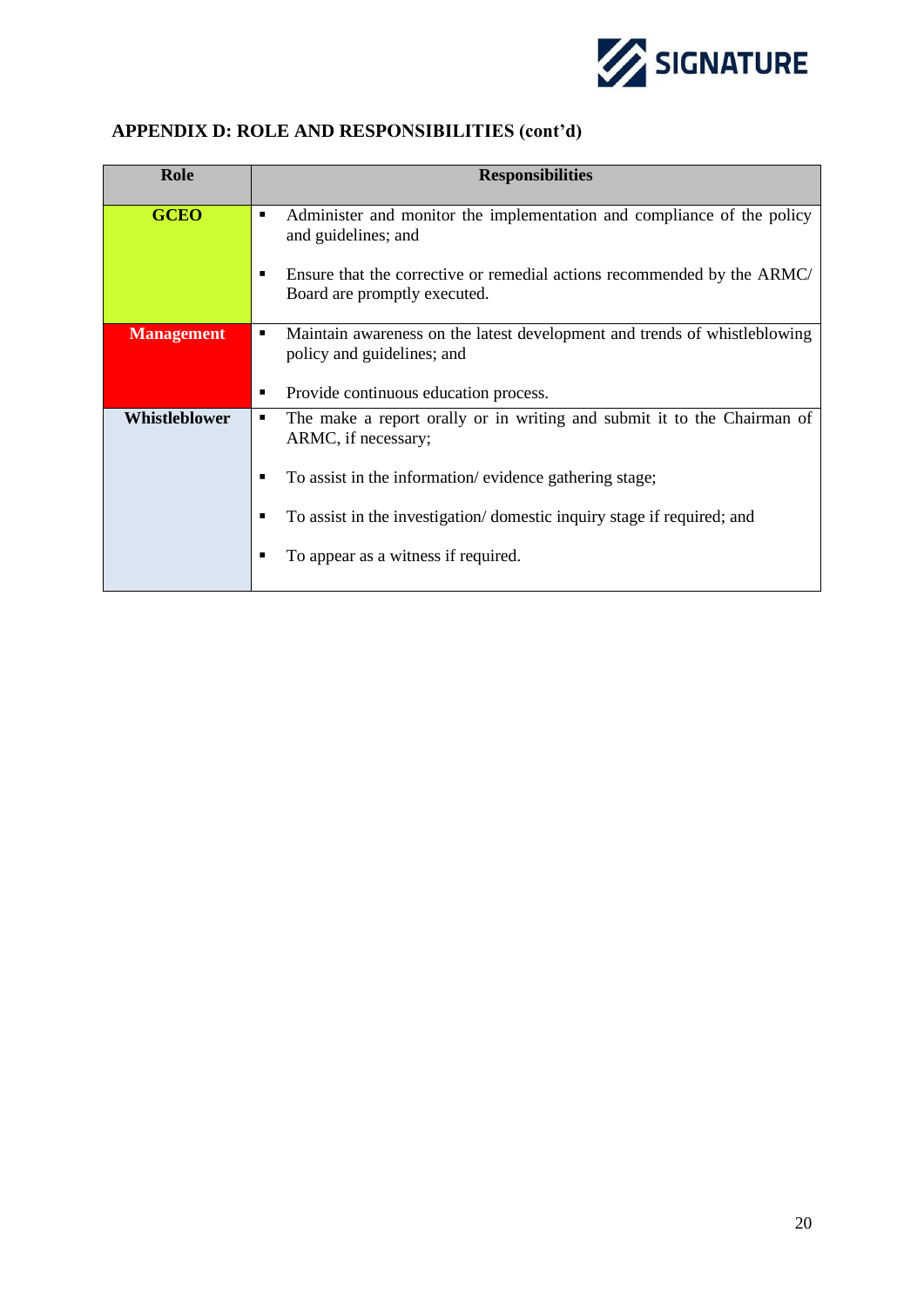![](_page_21_Picture_0.jpeg)

# **APPENDIX D: ROLE AND RESPONSIBILITIES (cont'd)**

| Role              | <b>Responsibilities</b>                                                                                                   |
|-------------------|---------------------------------------------------------------------------------------------------------------------------|
| <b>GCEO</b>       | Administer and monitor the implementation and compliance of the policy<br>$\blacksquare$<br>and guidelines; and           |
|                   | Ensure that the corrective or remedial actions recommended by the ARMC/<br>п<br>Board are promptly executed.              |
| <b>Management</b> | Maintain awareness on the latest development and trends of whistleblowing<br>$\blacksquare$<br>policy and guidelines; and |
|                   | Provide continuous education process.<br>п                                                                                |
| Whistleblower     | The make a report orally or in writing and submit it to the Chairman of<br>п<br>ARMC, if necessary;                       |
|                   | To assist in the information/evidence gathering stage;<br>■                                                               |
|                   | To assist in the investigation/domestic inquiry stage if required; and<br>■                                               |
|                   | To appear as a witness if required.                                                                                       |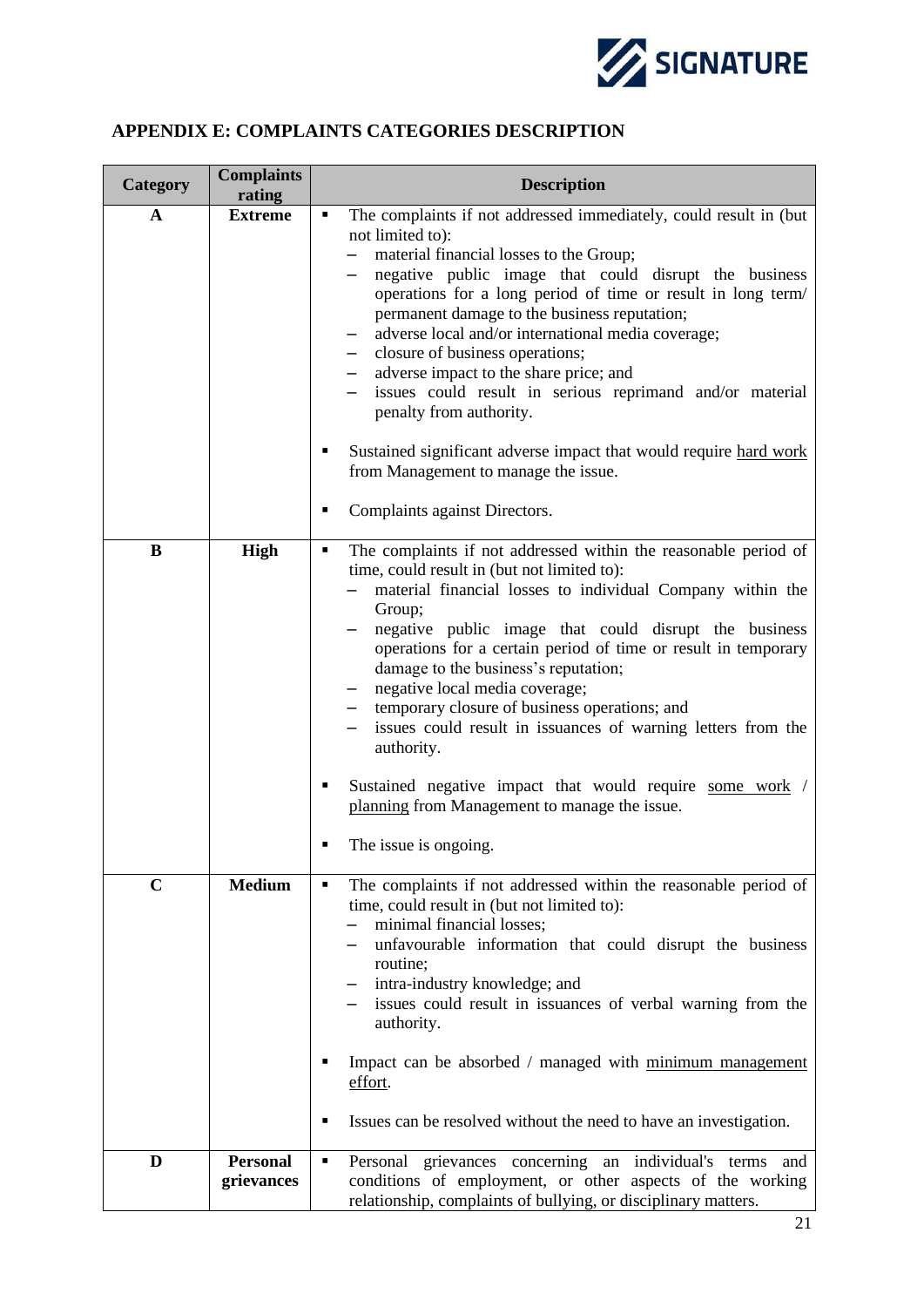![](_page_22_Picture_0.jpeg)

## <span id="page-22-0"></span>**APPENDIX E: COMPLAINTS CATEGORIES DESCRIPTION**

| Category    | <b>Complaints</b><br>rating   | <b>Description</b>                                                                                                                                                                                                                                                                                                                                                                                                                                                                                                                                                                                                                                                                               |  |  |
|-------------|-------------------------------|--------------------------------------------------------------------------------------------------------------------------------------------------------------------------------------------------------------------------------------------------------------------------------------------------------------------------------------------------------------------------------------------------------------------------------------------------------------------------------------------------------------------------------------------------------------------------------------------------------------------------------------------------------------------------------------------------|--|--|
| A           | <b>Extreme</b>                | The complaints if not addressed immediately, could result in (but<br>٠<br>not limited to):<br>material financial losses to the Group;<br>negative public image that could disrupt the business<br>operations for a long period of time or result in long term/<br>permanent damage to the business reputation;<br>adverse local and/or international media coverage;<br>closure of business operations;<br>adverse impact to the share price; and<br>issues could result in serious reprimand and/or material<br>penalty from authority.<br>Sustained significant adverse impact that would require hard work<br>٠<br>from Management to manage the issue.<br>Complaints against Directors.<br>٠ |  |  |
| B           | High                          | The complaints if not addressed within the reasonable period of<br>٠<br>time, could result in (but not limited to):<br>material financial losses to individual Company within the<br>Group;<br>negative public image that could disrupt the business<br>operations for a certain period of time or result in temporary<br>damage to the business's reputation;<br>negative local media coverage;<br>temporary closure of business operations; and<br>issues could result in issuances of warning letters from the<br>authority.<br>Sustained negative impact that would require some work /<br>٠<br>planning from Management to manage the issue.<br>The issue is ongoing.<br>п                  |  |  |
| $\mathbf C$ | <b>Medium</b>                 | The complaints if not addressed within the reasonable period of<br>п<br>time, could result in (but not limited to):<br>minimal financial losses;<br>unfavourable information that could disrupt the business<br>routine;<br>intra-industry knowledge; and<br>issues could result in issuances of verbal warning from the<br>authority.<br>Impact can be absorbed / managed with minimum management<br>effort.<br>Issues can be resolved without the need to have an investigation.<br>п                                                                                                                                                                                                          |  |  |
| D           | <b>Personal</b><br>grievances | Personal grievances concerning an individual's terms and<br>٠<br>conditions of employment, or other aspects of the working<br>relationship, complaints of bullying, or disciplinary matters.                                                                                                                                                                                                                                                                                                                                                                                                                                                                                                     |  |  |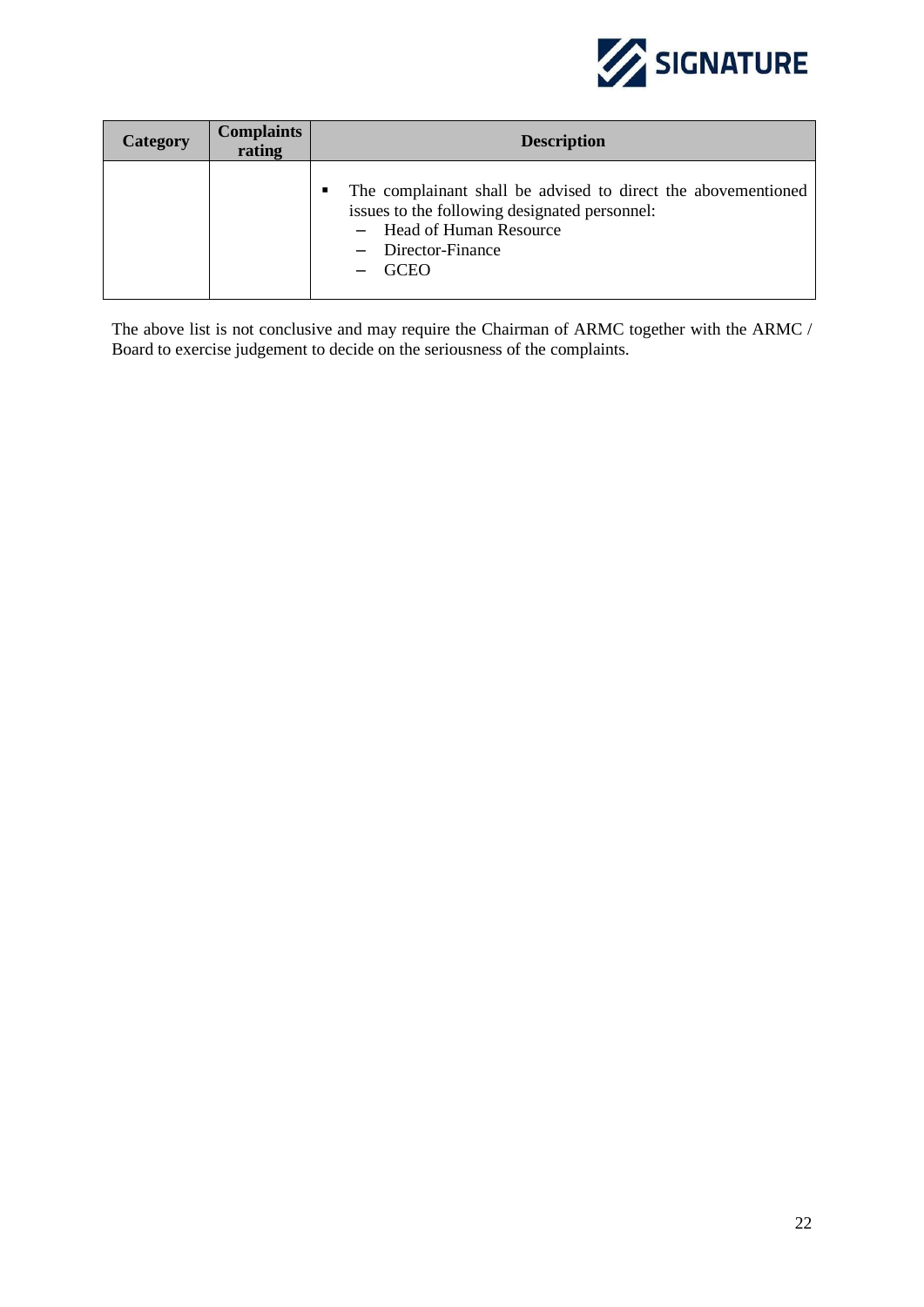![](_page_23_Picture_0.jpeg)

| <b>Category</b> | <b>Complaints</b><br>rating | <b>Description</b>                                                                                                                                                              |  |  |
|-----------------|-----------------------------|---------------------------------------------------------------------------------------------------------------------------------------------------------------------------------|--|--|
|                 |                             | The complainant shall be advised to direct the abovementioned<br>issues to the following designated personnel:<br>- Head of Human Resource<br>- Director-Finance<br><b>GCEO</b> |  |  |

The above list is not conclusive and may require the Chairman of ARMC together with the ARMC / Board to exercise judgement to decide on the seriousness of the complaints.